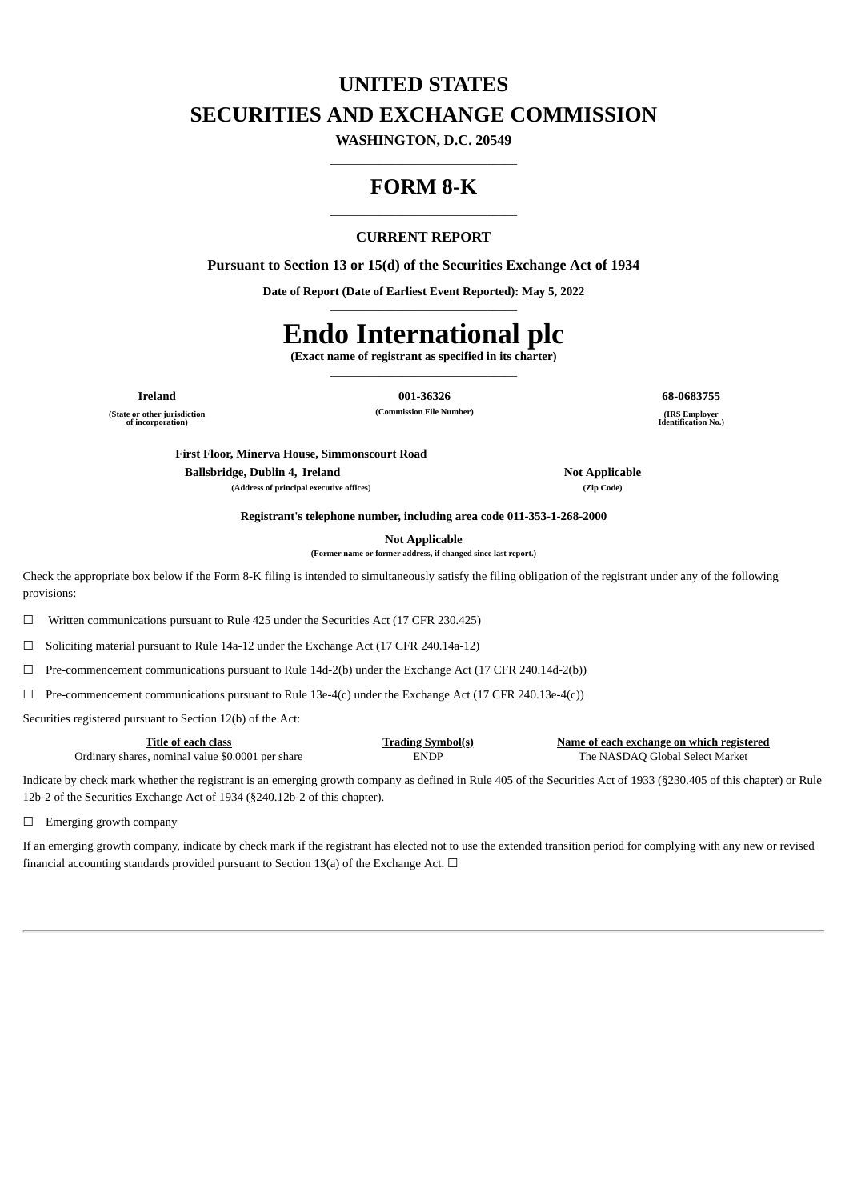## **UNITED STATES SECURITIES AND EXCHANGE COMMISSION**

**WASHINGTON, D.C. 20549** \_\_\_\_\_\_\_\_\_\_\_\_\_\_\_\_\_\_\_\_\_\_\_\_\_\_\_\_\_\_\_

## **FORM 8-K** \_\_\_\_\_\_\_\_\_\_\_\_\_\_\_\_\_\_\_\_\_\_\_\_\_\_\_\_\_\_\_

#### **CURRENT REPORT**

**Pursuant to Section 13 or 15(d) of the Securities Exchange Act of 1934**

**Date of Report (Date of Earliest Event Reported): May 5, 2022** \_\_\_\_\_\_\_\_\_\_\_\_\_\_\_\_\_\_\_\_\_\_\_\_\_\_\_\_\_\_\_

# **Endo International plc**

**(Exact name of registrant as specified in its charter)** \_\_\_\_\_\_\_\_\_\_\_\_\_\_\_\_\_\_\_\_\_\_\_\_\_\_\_\_\_\_\_

**Ireland 001-36326 68-0683755**

**(State or other jurisdiction of incorporation)**

**(Commission File Number)**

**(IRS Employer Identification No.)**

**First Floor, Minerva House, Simmonscourt Road**

**Ballsbridge, Dublin 4, Ireland Not Applicable (Address of principal executive offices) (Zip Code)**

**Registrant's telephone number, including area code 011-353-1-268-2000**

**Not Applicable**

**(Former name or former address, if changed since last report.)**

Check the appropriate box below if the Form 8-K filing is intended to simultaneously satisfy the filing obligation of the registrant under any of the following provisions:

☐ Written communications pursuant to Rule 425 under the Securities Act (17 CFR 230.425)

☐ Soliciting material pursuant to Rule 14a-12 under the Exchange Act (17 CFR 240.14a-12)

 $\Box$  Pre-commencement communications pursuant to Rule 14d-2(b) under the Exchange Act (17 CFR 240.14d-2(b))

☐ Pre-commencement communications pursuant to Rule 13e-4(c) under the Exchange Act (17 CFR 240.13e-4(c))

Securities registered pursuant to Section 12(b) of the Act:

| Title of each class                               | <b>Trading Symbol(s)</b> | Name of each exchange on which registered |
|---------------------------------------------------|--------------------------|-------------------------------------------|
| Ordinary shares, nominal value \$0.0001 per share | ENDP                     | The NASDAO Global Select Market           |

Indicate by check mark whether the registrant is an emerging growth company as defined in Rule 405 of the Securities Act of 1933 (§230.405 of this chapter) or Rule 12b-2 of the Securities Exchange Act of 1934 (§240.12b-2 of this chapter).

□ Emerging growth company

If an emerging growth company, indicate by check mark if the registrant has elected not to use the extended transition period for complying with any new or revised financial accounting standards provided pursuant to Section 13(a) of the Exchange Act.  $\Box$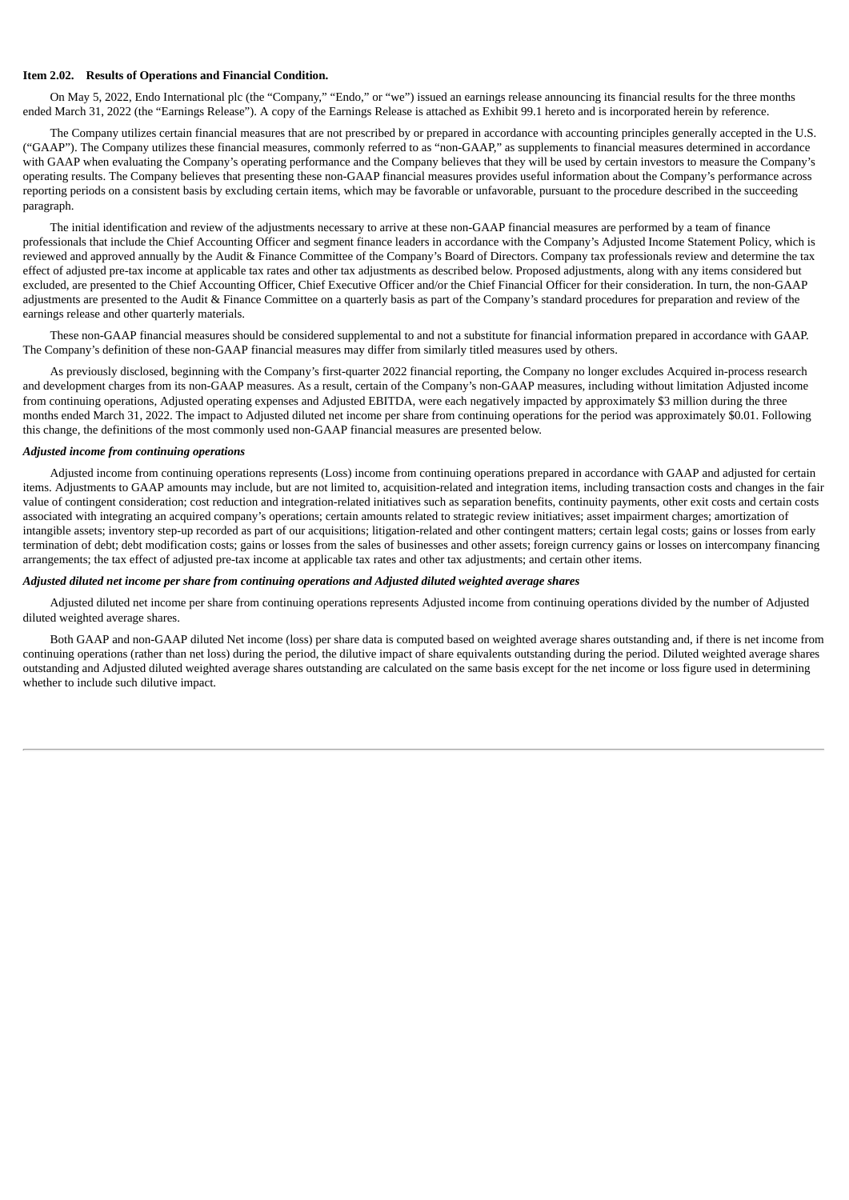#### **Item 2.02. Results of Operations and Financial Condition.**

On May 5, 2022, Endo International plc (the "Company," "Endo," or "we") issued an earnings release announcing its financial results for the three months ended March 31, 2022 (the "Earnings Release"). A copy of the Earnings Release is attached as Exhibit 99.1 hereto and is incorporated herein by reference.

The Company utilizes certain financial measures that are not prescribed by or prepared in accordance with accounting principles generally accepted in the U.S. ("GAAP"). The Company utilizes these financial measures, commonly referred to as "non-GAAP," as supplements to financial measures determined in accordance with GAAP when evaluating the Company's operating performance and the Company believes that they will be used by certain investors to measure the Company's operating results. The Company believes that presenting these non-GAAP financial measures provides useful information about the Company's performance across reporting periods on a consistent basis by excluding certain items, which may be favorable or unfavorable, pursuant to the procedure described in the succeeding paragraph.

The initial identification and review of the adjustments necessary to arrive at these non-GAAP financial measures are performed by a team of finance professionals that include the Chief Accounting Officer and segment finance leaders in accordance with the Company's Adjusted Income Statement Policy, which is reviewed and approved annually by the Audit & Finance Committee of the Company's Board of Directors. Company tax professionals review and determine the tax effect of adjusted pre-tax income at applicable tax rates and other tax adjustments as described below. Proposed adjustments, along with any items considered but excluded, are presented to the Chief Accounting Officer, Chief Executive Officer and/or the Chief Financial Officer for their consideration. In turn, the non-GAAP adjustments are presented to the Audit & Finance Committee on a quarterly basis as part of the Company's standard procedures for preparation and review of the earnings release and other quarterly materials.

These non-GAAP financial measures should be considered supplemental to and not a substitute for financial information prepared in accordance with GAAP. The Company's definition of these non-GAAP financial measures may differ from similarly titled measures used by others.

As previously disclosed, beginning with the Company's first-quarter 2022 financial reporting, the Company no longer excludes Acquired in-process research and development charges from its non-GAAP measures. As a result, certain of the Company's non-GAAP measures, including without limitation Adjusted income from continuing operations, Adjusted operating expenses and Adjusted EBITDA, were each negatively impacted by approximately \$3 million during the three months ended March 31, 2022. The impact to Adjusted diluted net income per share from continuing operations for the period was approximately \$0.01. Following this change, the definitions of the most commonly used non-GAAP financial measures are presented below.

#### *Adjusted income from continuing operations*

Adjusted income from continuing operations represents (Loss) income from continuing operations prepared in accordance with GAAP and adjusted for certain items. Adjustments to GAAP amounts may include, but are not limited to, acquisition-related and integration items, including transaction costs and changes in the fair value of contingent consideration; cost reduction and integration-related initiatives such as separation benefits, continuity payments, other exit costs and certain costs associated with integrating an acquired company's operations; certain amounts related to strategic review initiatives; asset impairment charges; amortization of intangible assets; inventory step-up recorded as part of our acquisitions; litigation-related and other contingent matters; certain legal costs; gains or losses from early termination of debt; debt modification costs; gains or losses from the sales of businesses and other assets; foreign currency gains or losses on intercompany financing arrangements; the tax effect of adjusted pre-tax income at applicable tax rates and other tax adjustments; and certain other items.

#### *Adjusted diluted net income per share from continuing operations and Adjusted diluted weighted average shares*

Adjusted diluted net income per share from continuing operations represents Adjusted income from continuing operations divided by the number of Adjusted diluted weighted average shares.

Both GAAP and non-GAAP diluted Net income (loss) per share data is computed based on weighted average shares outstanding and, if there is net income from continuing operations (rather than net loss) during the period, the dilutive impact of share equivalents outstanding during the period. Diluted weighted average shares outstanding and Adjusted diluted weighted average shares outstanding are calculated on the same basis except for the net income or loss figure used in determining whether to include such dilutive impact.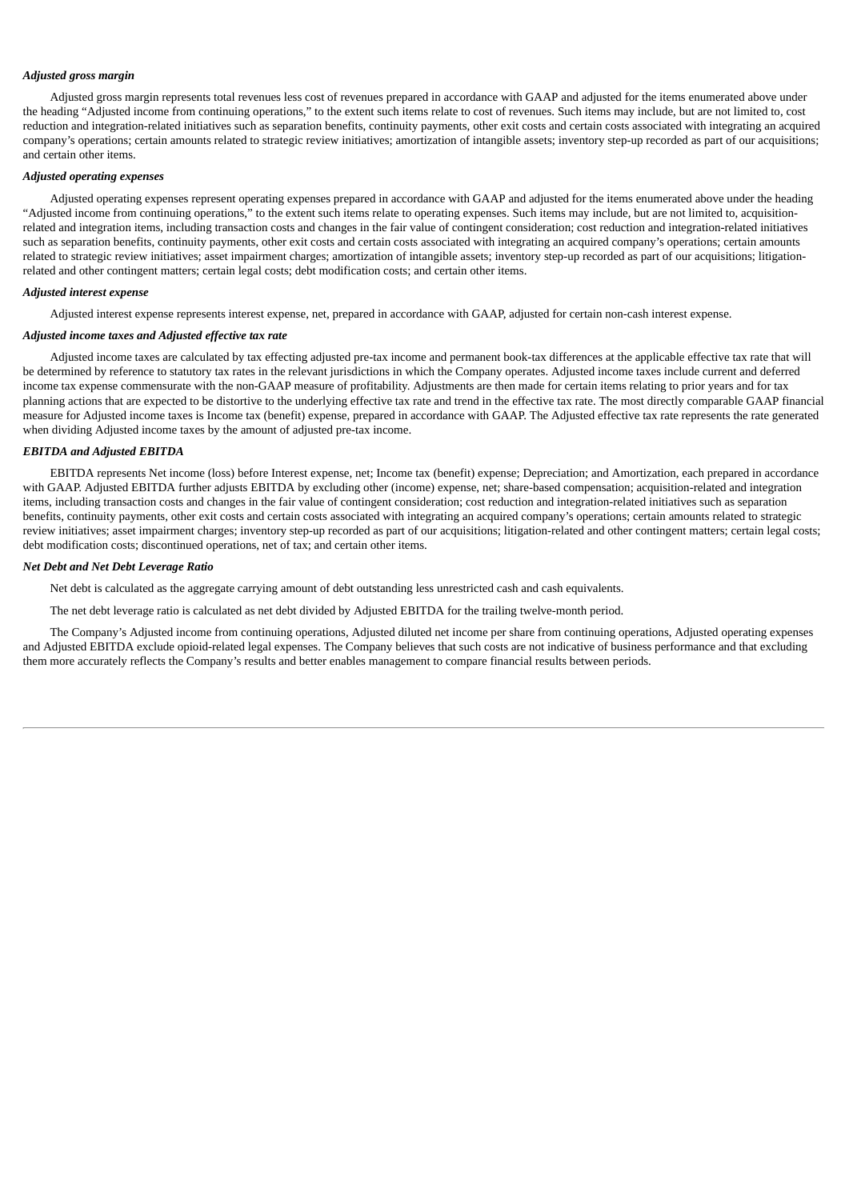#### *Adjusted gross margin*

Adjusted gross margin represents total revenues less cost of revenues prepared in accordance with GAAP and adjusted for the items enumerated above under the heading "Adjusted income from continuing operations," to the extent such items relate to cost of revenues. Such items may include, but are not limited to, cost reduction and integration-related initiatives such as separation benefits, continuity payments, other exit costs and certain costs associated with integrating an acquired company's operations; certain amounts related to strategic review initiatives; amortization of intangible assets; inventory step-up recorded as part of our acquisitions; and certain other items.

#### *Adjusted operating expenses*

Adjusted operating expenses represent operating expenses prepared in accordance with GAAP and adjusted for the items enumerated above under the heading "Adjusted income from continuing operations," to the extent such items relate to operating expenses. Such items may include, but are not limited to, acquisitionrelated and integration items, including transaction costs and changes in the fair value of contingent consideration; cost reduction and integration-related initiatives such as separation benefits, continuity payments, other exit costs and certain costs associated with integrating an acquired company's operations; certain amounts related to strategic review initiatives; asset impairment charges; amortization of intangible assets; inventory step-up recorded as part of our acquisitions; litigationrelated and other contingent matters; certain legal costs; debt modification costs; and certain other items.

#### *Adjusted interest expense*

Adjusted interest expense represents interest expense, net, prepared in accordance with GAAP, adjusted for certain non-cash interest expense.

#### *Adjusted income taxes and Adjusted effective tax rate*

Adjusted income taxes are calculated by tax effecting adjusted pre-tax income and permanent book-tax differences at the applicable effective tax rate that will be determined by reference to statutory tax rates in the relevant jurisdictions in which the Company operates. Adjusted income taxes include current and deferred income tax expense commensurate with the non-GAAP measure of profitability. Adjustments are then made for certain items relating to prior years and for tax planning actions that are expected to be distortive to the underlying effective tax rate and trend in the effective tax rate. The most directly comparable GAAP financial measure for Adjusted income taxes is Income tax (benefit) expense, prepared in accordance with GAAP. The Adjusted effective tax rate represents the rate generated when dividing Adjusted income taxes by the amount of adjusted pre-tax income.

#### *EBITDA and Adjusted EBITDA*

EBITDA represents Net income (loss) before Interest expense, net; Income tax (benefit) expense; Depreciation; and Amortization, each prepared in accordance with GAAP. Adjusted EBITDA further adjusts EBITDA by excluding other (income) expense, net; share-based compensation; acquisition-related and integration items, including transaction costs and changes in the fair value of contingent consideration; cost reduction and integration-related initiatives such as separation benefits, continuity payments, other exit costs and certain costs associated with integrating an acquired company's operations; certain amounts related to strategic review initiatives; asset impairment charges; inventory step-up recorded as part of our acquisitions; litigation-related and other contingent matters; certain legal costs; debt modification costs; discontinued operations, net of tax; and certain other items.

#### *Net Debt and Net Debt Leverage Ratio*

Net debt is calculated as the aggregate carrying amount of debt outstanding less unrestricted cash and cash equivalents.

The net debt leverage ratio is calculated as net debt divided by Adjusted EBITDA for the trailing twelve-month period.

The Company's Adjusted income from continuing operations, Adjusted diluted net income per share from continuing operations, Adjusted operating expenses and Adjusted EBITDA exclude opioid-related legal expenses. The Company believes that such costs are not indicative of business performance and that excluding them more accurately reflects the Company's results and better enables management to compare financial results between periods.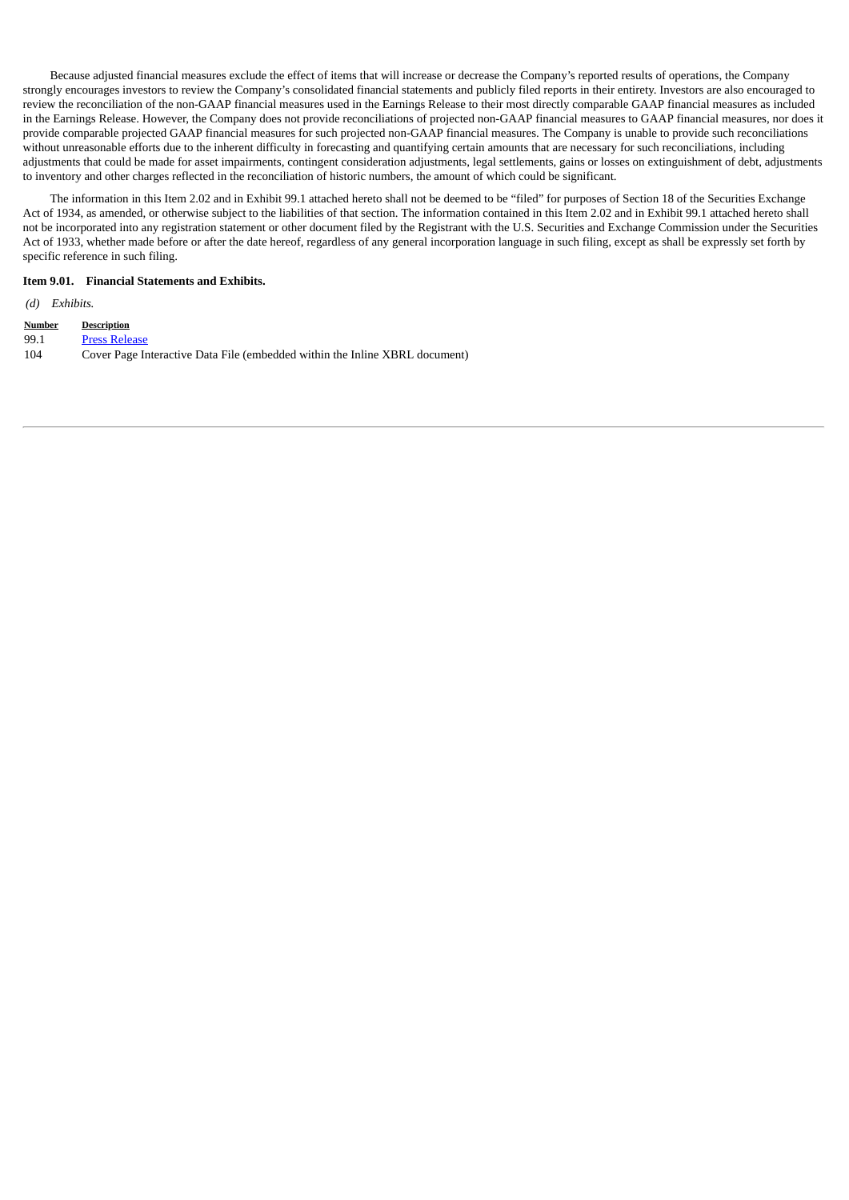Because adjusted financial measures exclude the effect of items that will increase or decrease the Company's reported results of operations, the Company strongly encourages investors to review the Company's consolidated financial statements and publicly filed reports in their entirety. Investors are also encouraged to review the reconciliation of the non-GAAP financial measures used in the Earnings Release to their most directly comparable GAAP financial measures as included in the Earnings Release. However, the Company does not provide reconciliations of projected non-GAAP financial measures to GAAP financial measures, nor does it provide comparable projected GAAP financial measures for such projected non-GAAP financial measures. The Company is unable to provide such reconciliations without unreasonable efforts due to the inherent difficulty in forecasting and quantifying certain amounts that are necessary for such reconciliations, including adjustments that could be made for asset impairments, contingent consideration adjustments, legal settlements, gains or losses on extinguishment of debt, adjustments to inventory and other charges reflected in the reconciliation of historic numbers, the amount of which could be significant.

The information in this Item 2.02 and in Exhibit 99.1 attached hereto shall not be deemed to be "filed" for purposes of Section 18 of the Securities Exchange Act of 1934, as amended, or otherwise subject to the liabilities of that section. The information contained in this Item 2.02 and in Exhibit 99.1 attached hereto shall not be incorporated into any registration statement or other document filed by the Registrant with the U.S. Securities and Exchange Commission under the Securities Act of 1933, whether made before or after the date hereof, regardless of any general incorporation language in such filing, except as shall be expressly set forth by specific reference in such filing.

#### **Item 9.01. Financial Statements and Exhibits.**

*(d) Exhibits.*

- **Number Description** 99.1 Press [Release](#page-5-0)
- 104 Cover Page Interactive Data File (embedded within the Inline XBRL document)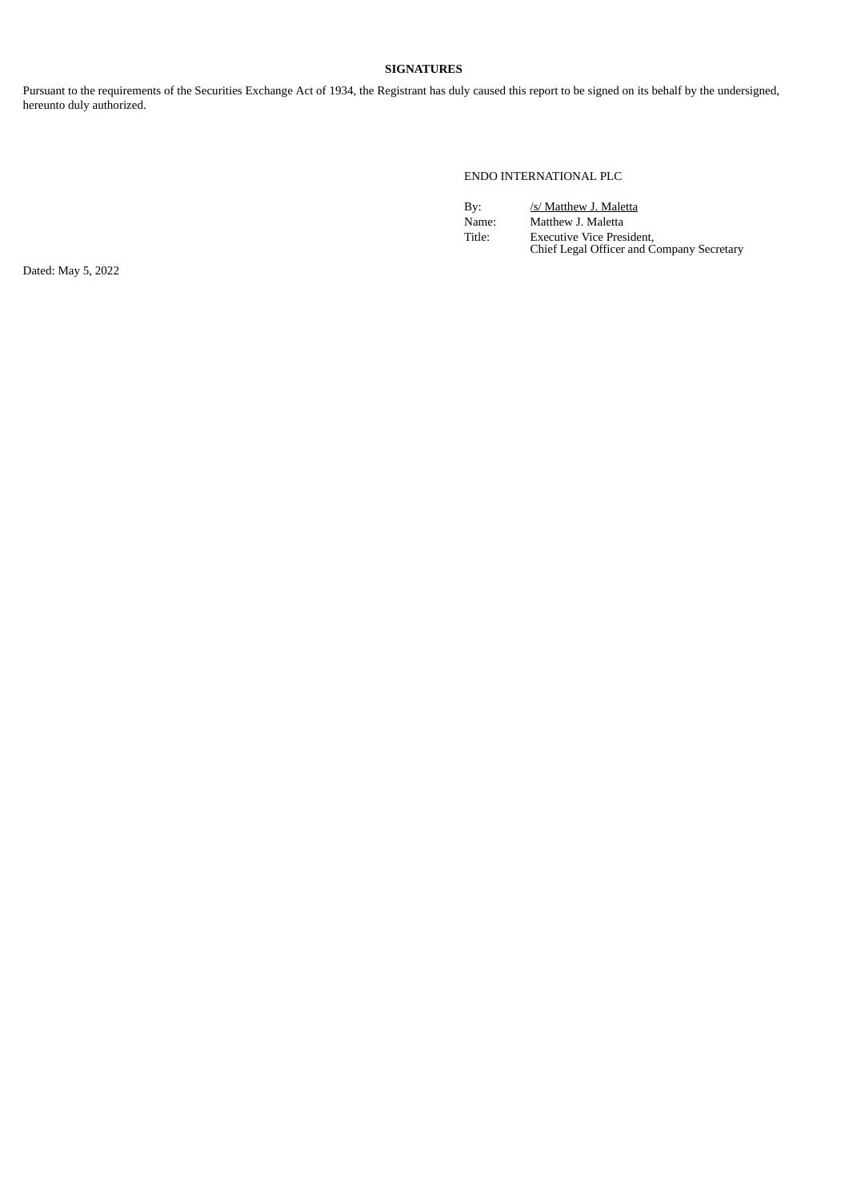#### **SIGNATURES**

Pursuant to the requirements of the Securities Exchange Act of 1934, the Registrant has duly caused this report to be signed on its behalf by the undersigned, hereunto duly authorized.

#### ENDO INTERNATIONAL PLC

| By:    | /s/ Matthew J. Maletta                                                 |
|--------|------------------------------------------------------------------------|
| Name:  | Matthew J. Maletta                                                     |
| Title: | Executive Vice President.<br>Chief Legal Officer and Company Secretary |

Dated: May 5, 2022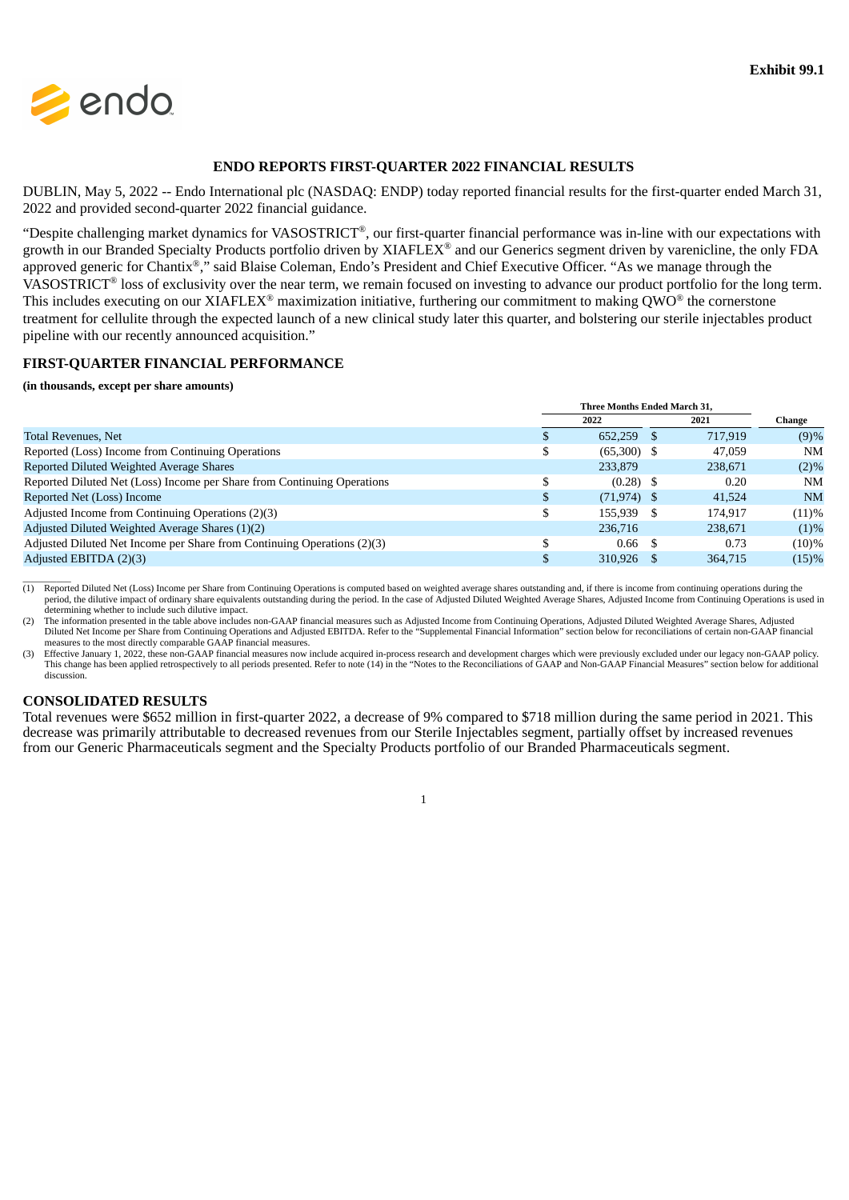<span id="page-5-0"></span>

### **ENDO REPORTS FIRST-QUARTER 2022 FINANCIAL RESULTS**

DUBLIN, May 5, 2022 -- Endo International plc (NASDAQ: ENDP) today reported financial results for the first-quarter ended March 31, 2022 and provided second-quarter 2022 financial guidance.

"Despite challenging market dynamics for VASOSTRICT®, our first-quarter financial performance was in-line with our expectations with growth in our Branded Specialty Products portfolio driven by XIAFLEX® and our Generics segment driven by varenicline, the only FDA approved generic for Chantix®," said Blaise Coleman, Endo's President and Chief Executive Officer. "As we manage through the VASOSTRICT<sup>®</sup> loss of exclusivity over the near term, we remain focused on investing to advance our product portfolio for the long term. This includes executing on our XIAFLEX® maximization initiative, furthering our commitment to making QWO® the cornerstone treatment for cellulite through the expected launch of a new clinical study later this quarter, and bolstering our sterile injectables product pipeline with our recently announced acquisition."

#### **FIRST-QUARTER FINANCIAL PERFORMANCE**

#### **(in thousands, except per share amounts)**

|                                                                         |    | <b>Three Months Ended March 31.</b> |     |         |           |
|-------------------------------------------------------------------------|----|-------------------------------------|-----|---------|-----------|
|                                                                         |    | 2022                                |     | 2021    | Change    |
| Total Revenues, Net                                                     | D  | 652,259                             | - 8 | 717.919 | (9)%      |
| Reported (Loss) Income from Continuing Operations                       | Φ  | $(65,300)$ \$                       |     | 47,059  | NM        |
| Reported Diluted Weighted Average Shares                                |    | 233,879                             |     | 238,671 | (2)%      |
| Reported Diluted Net (Loss) Income per Share from Continuing Operations |    | $(0.28)$ \$                         |     | 0.20    | NM        |
| Reported Net (Loss) Income                                              | \$ | $(71, 974)$ \$                      |     | 41.524  | <b>NM</b> |
| Adjusted Income from Continuing Operations (2)(3)                       | \$ | 155.939                             |     | 174.917 | (11)%     |
| Adjusted Diluted Weighted Average Shares (1)(2)                         |    | 236,716                             |     | 238,671 | $(1)\%$   |
| Adjusted Diluted Net Income per Share from Continuing Operations (2)(3) |    | 0.66                                | - 8 | 0.73    | $(10)\%$  |
| Adjusted EBITDA (2)(3)                                                  | \$ | 310,926                             |     | 364,715 | (15)%     |

\_\_\_\_\_\_\_\_\_\_ (1) Reported Diluted Net (Loss) Income per Share from Continuing Operations is computed based on weighted average shares outstanding and, if there is income from continuing operations during the period, the dilutive impact of ordinary share equivalents outstanding during the period. In the case of Adjusted Diluted Weighted Average Shares, Adjusted Income from Continuing Operations is used in determining whether to include such dilutive impact.

The information presented in the table above includes non-GAAP financial measures such as Adjusted Income from Continuing Operations, Adjusted Diluted Weighted Average Shares, Adjusted Diluted Net Income per Share from Continuing Operations and Adjusted EBITDA. Refer to the "Supplemental Financial Information" section below for reconciliations of certain non-GAAP financial measures to the most directly comparable GAAP financial measures.

.3) Effective January 1, 2022, these non-GAAP financial measures now include acquired in-process research and development charges which were previously excluded under our legacy non-GAAP policy.<br>This change has been applie discussion.

#### **CONSOLIDATED RESULTS**

Total revenues were \$652 million in first-quarter 2022, a decrease of 9% compared to \$718 million during the same period in 2021. This decrease was primarily attributable to decreased revenues from our Sterile Injectables segment, partially offset by increased revenues from our Generic Pharmaceuticals segment and the Specialty Products portfolio of our Branded Pharmaceuticals segment.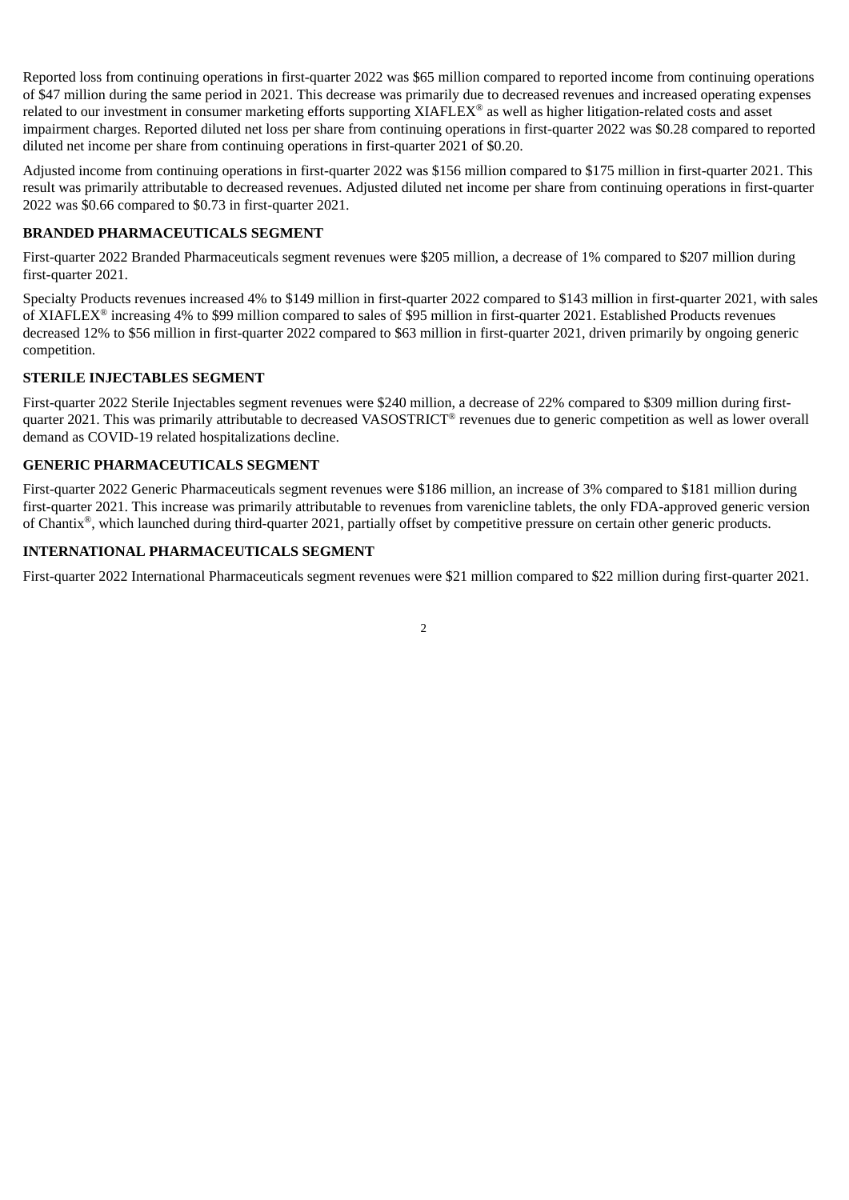Reported loss from continuing operations in first-quarter 2022 was \$65 million compared to reported income from continuing operations of \$47 million during the same period in 2021. This decrease was primarily due to decreased revenues and increased operating expenses related to our investment in consumer marketing efforts supporting XIAFLEX® as well as higher litigation-related costs and asset impairment charges. Reported diluted net loss per share from continuing operations in first-quarter 2022 was \$0.28 compared to reported diluted net income per share from continuing operations in first-quarter 2021 of \$0.20.

Adjusted income from continuing operations in first-quarter 2022 was \$156 million compared to \$175 million in first-quarter 2021. This result was primarily attributable to decreased revenues. Adjusted diluted net income per share from continuing operations in first-quarter 2022 was \$0.66 compared to \$0.73 in first-quarter 2021.

## **BRANDED PHARMACEUTICALS SEGMENT**

First-quarter 2022 Branded Pharmaceuticals segment revenues were \$205 million, a decrease of 1% compared to \$207 million during first-quarter 2021.

Specialty Products revenues increased 4% to \$149 million in first-quarter 2022 compared to \$143 million in first-quarter 2021, with sales of XIAFLEX<sup>®</sup> increasing 4% to \$99 million compared to sales of \$95 million in first-quarter 2021. Established Products revenues decreased 12% to \$56 million in first-quarter 2022 compared to \$63 million in first-quarter 2021, driven primarily by ongoing generic competition.

## **STERILE INJECTABLES SEGMENT**

First-quarter 2022 Sterile Injectables segment revenues were \$240 million, a decrease of 22% compared to \$309 million during firstquarter 2021. This was primarily attributable to decreased VASOSTRICT® revenues due to generic competition as well as lower overall demand as COVID-19 related hospitalizations decline.

### **GENERIC PHARMACEUTICALS SEGMENT**

First-quarter 2022 Generic Pharmaceuticals segment revenues were \$186 million, an increase of 3% compared to \$181 million during first-quarter 2021. This increase was primarily attributable to revenues from varenicline tablets, the only FDA-approved generic version of Chantix<sup>®</sup>, which launched during third-quarter 2021, partially offset by competitive pressure on certain other generic products.

## **INTERNATIONAL PHARMACEUTICALS SEGMENT**

First-quarter 2022 International Pharmaceuticals segment revenues were \$21 million compared to \$22 million during first-quarter 2021.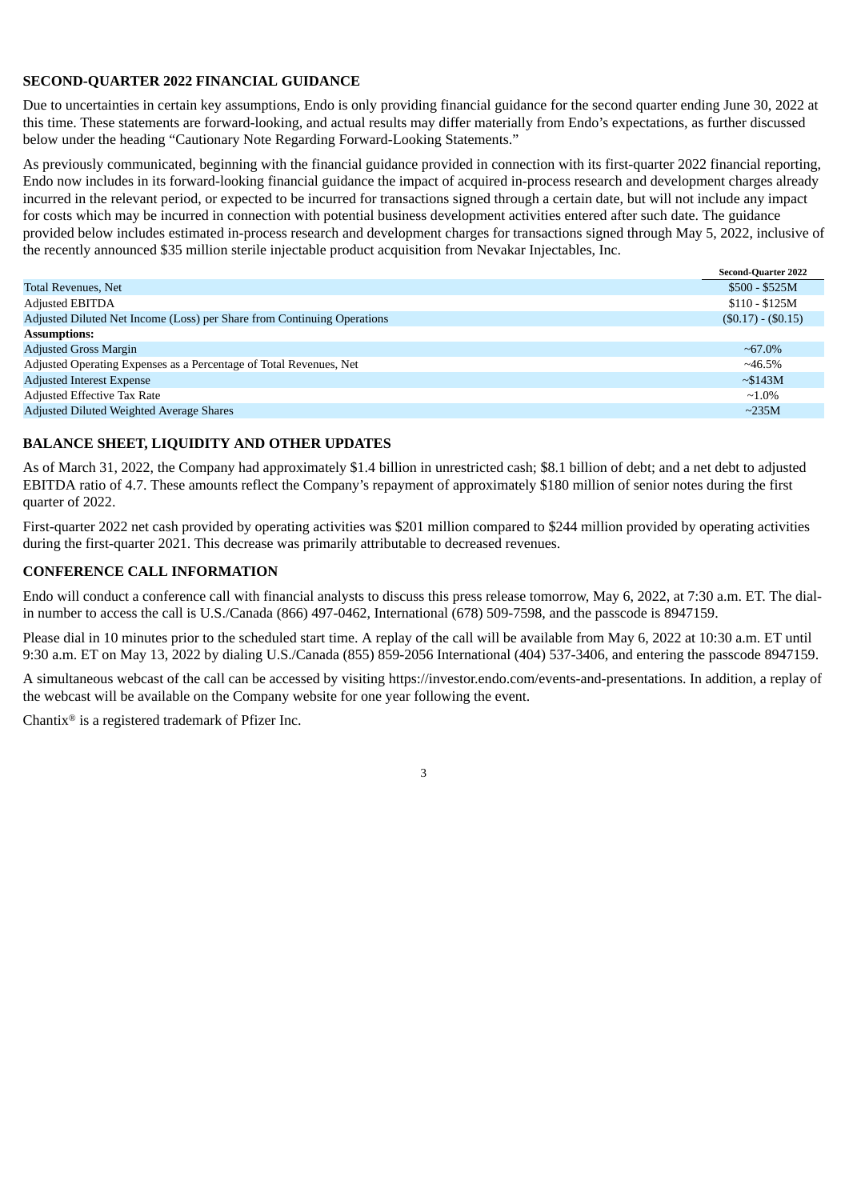## **SECOND-QUARTER 2022 FINANCIAL GUIDANCE**

Due to uncertainties in certain key assumptions, Endo is only providing financial guidance for the second quarter ending June 30, 2022 at this time. These statements are forward-looking, and actual results may differ materially from Endo's expectations, as further discussed below under the heading "Cautionary Note Regarding Forward-Looking Statements."

As previously communicated, beginning with the financial guidance provided in connection with its first-quarter 2022 financial reporting, Endo now includes in its forward-looking financial guidance the impact of acquired in-process research and development charges already incurred in the relevant period, or expected to be incurred for transactions signed through a certain date, but will not include any impact for costs which may be incurred in connection with potential business development activities entered after such date. The guidance provided below includes estimated in-process research and development charges for transactions signed through May 5, 2022, inclusive of the recently announced \$35 million sterile injectable product acquisition from Nevakar Injectables, Inc.

| <b>Second-Quarter 2022</b> |
|----------------------------|
| $$500 - $525M$$            |
| $$110 - $125M$             |
| $(\$0.17) - (\$0.15)$      |
|                            |
| $~67.0\%$                  |
| $~146.5\%$                 |
| $\sim$ \$143M              |
| $^{\sim}1.0\%$             |
| $\sim$ 235M                |
|                            |

## **BALANCE SHEET, LIQUIDITY AND OTHER UPDATES**

As of March 31, 2022, the Company had approximately \$1.4 billion in unrestricted cash; \$8.1 billion of debt; and a net debt to adjusted EBITDA ratio of 4.7. These amounts reflect the Company's repayment of approximately \$180 million of senior notes during the first quarter of 2022.

First-quarter 2022 net cash provided by operating activities was \$201 million compared to \$244 million provided by operating activities during the first-quarter 2021. This decrease was primarily attributable to decreased revenues.

## **CONFERENCE CALL INFORMATION**

Endo will conduct a conference call with financial analysts to discuss this press release tomorrow, May 6, 2022, at 7:30 a.m. ET. The dialin number to access the call is U.S./Canada (866) 497-0462, International (678) 509-7598, and the passcode is 8947159.

Please dial in 10 minutes prior to the scheduled start time. A replay of the call will be available from May 6, 2022 at 10:30 a.m. ET until 9:30 a.m. ET on May 13, 2022 by dialing U.S./Canada (855) 859-2056 International (404) 537-3406, and entering the passcode 8947159.

A simultaneous webcast of the call can be accessed by visiting https://investor.endo.com/events-and-presentations. In addition, a replay of the webcast will be available on the Company website for one year following the event.

Chantix $\mathscr{B}$  is a registered trademark of Pfizer Inc.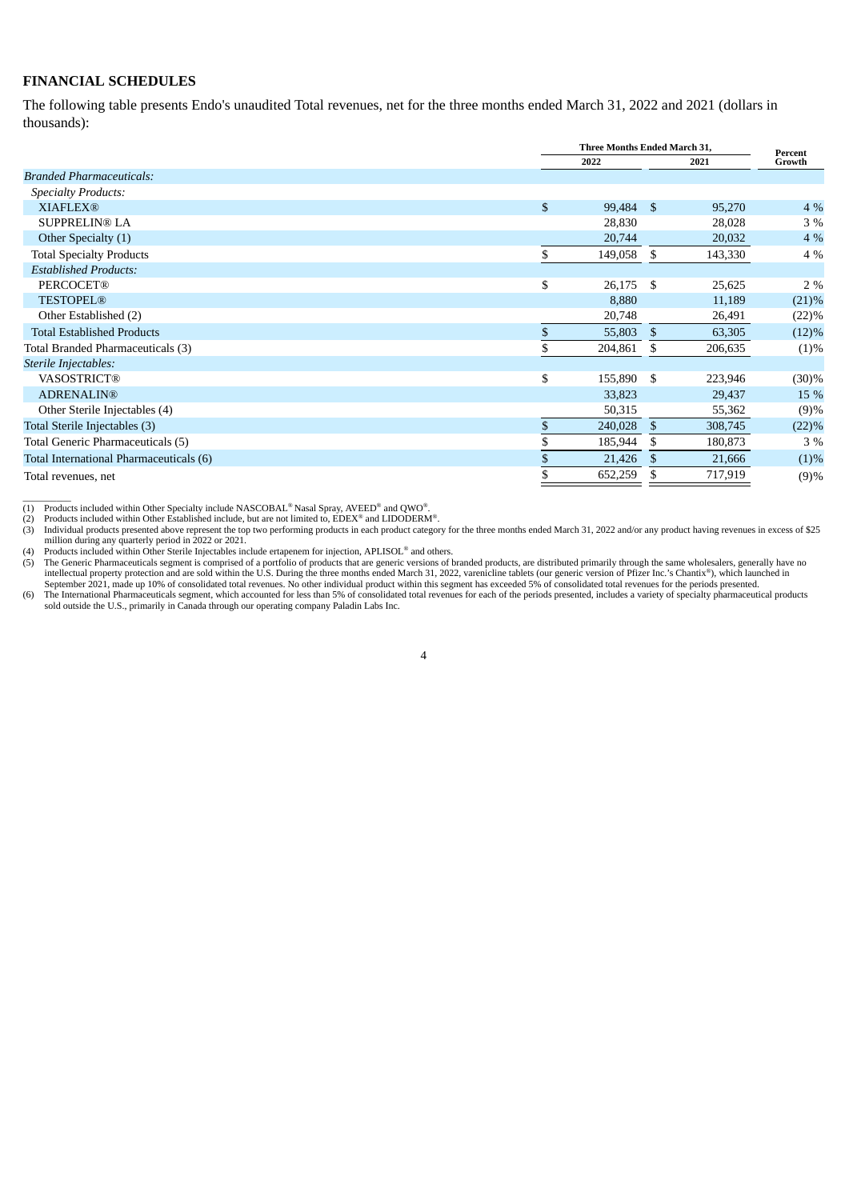## **FINANCIAL SCHEDULES**

The following table presents Endo's unaudited Total revenues, net for the three months ended March 31, 2022 and 2021 (dollars in thousands):

|                                         | <b>Three Months Ended March 31.</b> |      |         |                   |  |
|-----------------------------------------|-------------------------------------|------|---------|-------------------|--|
|                                         | 2022                                |      | 2021    | Percent<br>Growth |  |
| <b>Branded Pharmaceuticals:</b>         |                                     |      |         |                   |  |
| <b>Specialty Products:</b>              |                                     |      |         |                   |  |
| <b>XIAFLEX®</b>                         | \$<br>99,484 \$                     |      | 95,270  | 4 %               |  |
| <b>SUPPRELIN® LA</b>                    | 28,830                              |      | 28,028  | 3 %               |  |
| Other Specialty (1)                     | 20,744                              |      | 20,032  | 4 %               |  |
| <b>Total Specialty Products</b>         | \$<br>149,058                       | - \$ | 143,330 | 4 %               |  |
| <b>Established Products:</b>            |                                     |      |         |                   |  |
| <b>PERCOCET®</b>                        | \$<br>26,175                        | -\$  | 25,625  | $2\%$             |  |
| <b>TESTOPEL®</b>                        | 8,880                               |      | 11,189  | (21)%             |  |
| Other Established (2)                   | 20,748                              |      | 26,491  | $(22)\%$          |  |
| <b>Total Established Products</b>       | \$<br>55,803                        | -\$  | 63,305  | (12)%             |  |
| Total Branded Pharmaceuticals (3)       | \$<br>204,861                       | -S   | 206,635 | $(1)\%$           |  |
| Sterile Injectables:                    |                                     |      |         |                   |  |
| <b>VASOSTRICT®</b>                      | \$<br>155,890 \$                    |      | 223,946 | $(30)\%$          |  |
| <b>ADRENALIN®</b>                       | 33,823                              |      | 29,437  | 15 %              |  |
| Other Sterile Injectables (4)           | 50,315                              |      | 55,362  | (9)%              |  |
| Total Sterile Injectables (3)           | \$<br>240,028                       | - \$ | 308,745 | (22)%             |  |
| Total Generic Pharmaceuticals (5)       | \$<br>185,944                       | -S   | 180,873 | 3 %               |  |
| Total International Pharmaceuticals (6) | \$<br>21,426                        | \$   | 21,666  | (1)%              |  |
| Total revenues, net                     | \$<br>652,259                       | -\$  | 717,919 | (9)%              |  |

The Secondary Secondron Contentstand of the Specialty include NASCOBAL<sup>®</sup> Nasal Spray, AVEED<sup>®</sup> and QWO<sup>®</sup>.

(2) Products included within Other Established include, but are not limited to,  $EDEX^{\circ}$  and LIDODERM<sup>®</sup>.

(3) Individual products presented above represent the top two performing products in each product category for the three months ended March 31, 2022 and/or any product having revenues in excess of \$25 million during any qu

®

(4) Products included within Other Sterile Injectables include ertapenem for injection, APLISOL® and others.<br>(5) The Generic Pharmaceuticals segment is comprised of a portfolio of products that are generic versions of bran ®

(6) The International Pharmaceuticals segment, which accounted for less than 5% of consolidated total revenues for each of the periods presented, includes a variety of specialty pharmaceutical products sold outside the U.S., primarily in Canada through our operating company Paladin Labs Inc.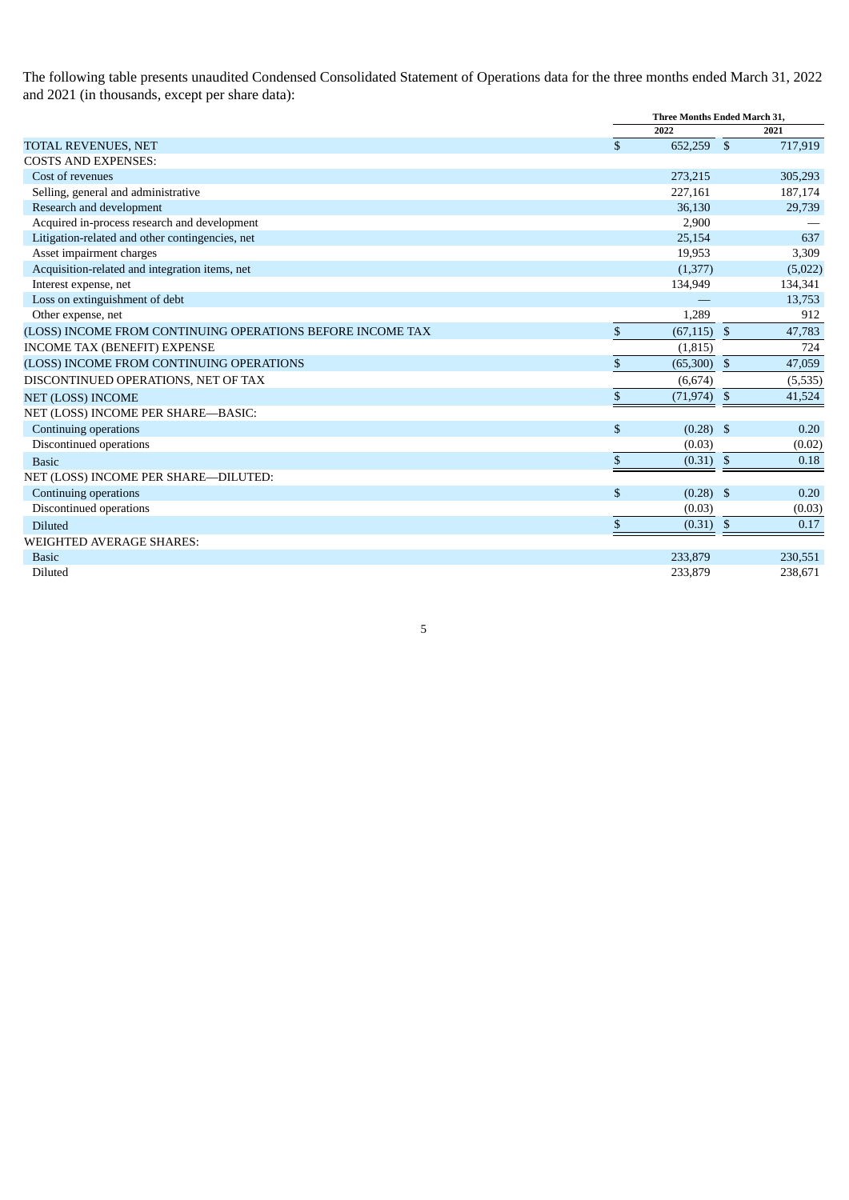The following table presents unaudited Condensed Consolidated Statement of Operations data for the three months ended March 31, 2022 and 2021 (in thousands, except per share data):

|                                                            | <b>Three Months Ended March 31.</b> |             |                |          |  |  |  |
|------------------------------------------------------------|-------------------------------------|-------------|----------------|----------|--|--|--|
|                                                            |                                     | 2022        |                | 2021     |  |  |  |
| <b>TOTAL REVENUES, NET</b>                                 | \$                                  | 652,259 \$  |                | 717,919  |  |  |  |
| <b>COSTS AND EXPENSES:</b>                                 |                                     |             |                |          |  |  |  |
| Cost of revenues                                           |                                     | 273,215     |                | 305,293  |  |  |  |
| Selling, general and administrative                        |                                     | 227,161     |                | 187,174  |  |  |  |
| Research and development                                   |                                     | 36,130      |                | 29,739   |  |  |  |
| Acquired in-process research and development               |                                     | 2,900       |                |          |  |  |  |
| Litigation-related and other contingencies, net            |                                     | 25,154      |                | 637      |  |  |  |
| Asset impairment charges                                   |                                     | 19,953      |                | 3,309    |  |  |  |
| Acquisition-related and integration items, net             |                                     | (1,377)     |                | (5,022)  |  |  |  |
| Interest expense, net                                      |                                     | 134,949     |                | 134,341  |  |  |  |
| Loss on extinguishment of debt                             |                                     |             |                | 13,753   |  |  |  |
| Other expense, net                                         |                                     | 1,289       |                | 912      |  |  |  |
| (LOSS) INCOME FROM CONTINUING OPERATIONS BEFORE INCOME TAX | $\mathbb{S}$                        | (67, 115)   | $\mathfrak{s}$ | 47,783   |  |  |  |
| <b>INCOME TAX (BENEFIT) EXPENSE</b>                        |                                     | (1, 815)    |                | 724      |  |  |  |
| (LOSS) INCOME FROM CONTINUING OPERATIONS                   | $\mathbb{S}$                        | (65,300)    | $\mathfrak{F}$ | 47,059   |  |  |  |
| DISCONTINUED OPERATIONS, NET OF TAX                        |                                     | (6,674)     |                | (5, 535) |  |  |  |
| NET (LOSS) INCOME                                          | \$                                  | (71, 974)   | \$             | 41,524   |  |  |  |
| NET (LOSS) INCOME PER SHARE-BASIC:                         |                                     |             |                |          |  |  |  |
| Continuing operations                                      | \$                                  | $(0.28)$ \$ |                | 0.20     |  |  |  |
| Discontinued operations                                    |                                     | (0.03)      |                | (0.02)   |  |  |  |
| <b>Basic</b>                                               | \$                                  | $(0.31)$ \$ |                | 0.18     |  |  |  |
| NET (LOSS) INCOME PER SHARE-DILUTED:                       |                                     |             |                |          |  |  |  |
| Continuing operations                                      | $\mathbb{S}$                        | $(0.28)$ \$ |                | 0.20     |  |  |  |
| Discontinued operations                                    |                                     | (0.03)      |                | (0.03)   |  |  |  |
| <b>Diluted</b>                                             | \$                                  | (0.31)      | $\frac{1}{2}$  | 0.17     |  |  |  |
| <b>WEIGHTED AVERAGE SHARES:</b>                            |                                     |             |                |          |  |  |  |
| <b>Basic</b>                                               |                                     | 233,879     |                | 230,551  |  |  |  |
| Diluted                                                    |                                     | 233,879     |                | 238,671  |  |  |  |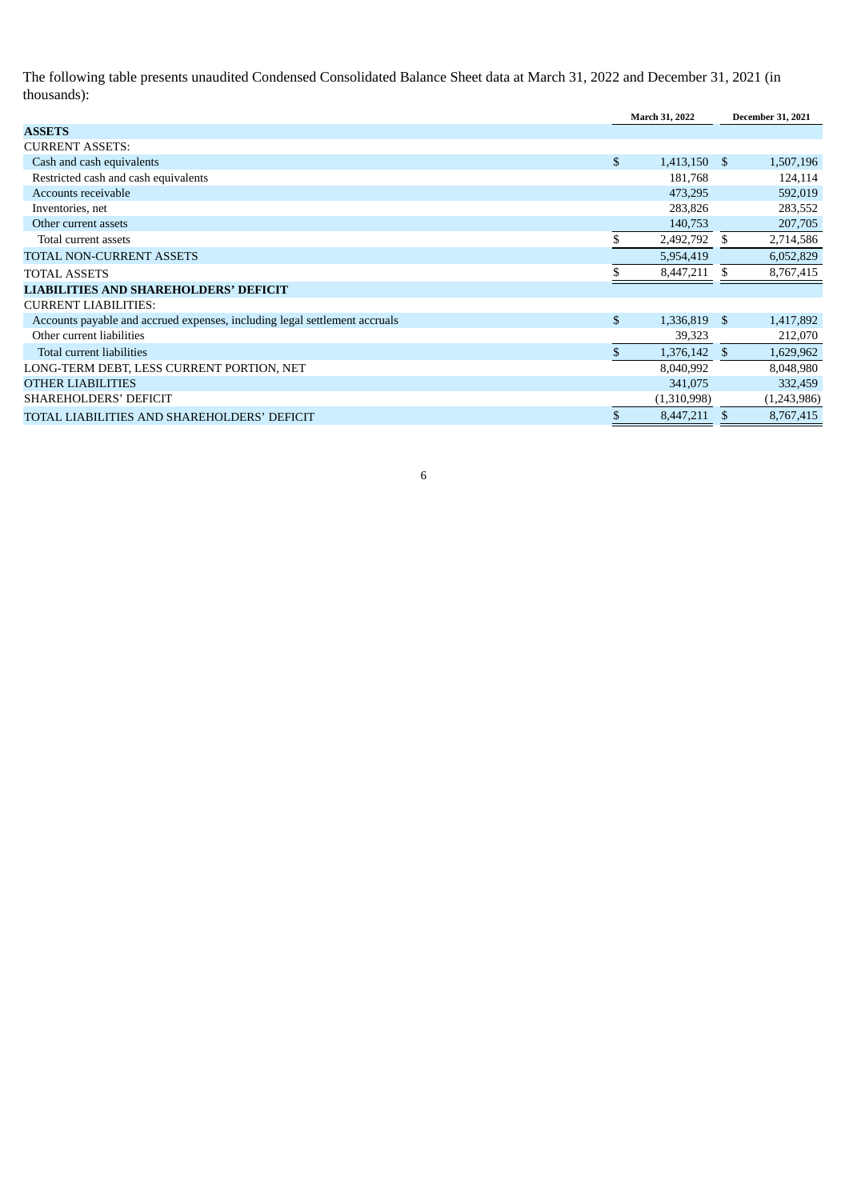The following table presents unaudited Condensed Consolidated Balance Sheet data at March 31, 2022 and December 31, 2021 (in thousands):

|                                                                            | March 31, 2022       |     | <b>December 31, 2021</b> |  |
|----------------------------------------------------------------------------|----------------------|-----|--------------------------|--|
| <b>ASSETS</b>                                                              |                      |     |                          |  |
| <b>CURRENT ASSETS:</b>                                                     |                      |     |                          |  |
| Cash and cash equivalents                                                  | \$<br>$1,413,150$ \$ |     | 1,507,196                |  |
| Restricted cash and cash equivalents                                       | 181,768              |     | 124,114                  |  |
| Accounts receivable                                                        | 473,295              |     | 592,019                  |  |
| Inventories, net                                                           | 283,826              |     | 283,552                  |  |
| Other current assets                                                       | 140,753              |     | 207,705                  |  |
| Total current assets                                                       | 2,492,792            | -\$ | 2,714,586                |  |
| TOTAL NON-CURRENT ASSETS                                                   | 5,954,419            |     | 6,052,829                |  |
| <b>TOTAL ASSETS</b>                                                        | 8,447,211            | -S  | 8,767,415                |  |
| <b>LIABILITIES AND SHAREHOLDERS' DEFICIT</b>                               |                      |     |                          |  |
| <b>CURRENT LIABILITIES:</b>                                                |                      |     |                          |  |
| Accounts payable and accrued expenses, including legal settlement accruals | \$<br>1,336,819 \$   |     | 1,417,892                |  |
| Other current liabilities                                                  | 39,323               |     | 212,070                  |  |
| Total current liabilities                                                  | \$<br>1,376,142 \$   |     | 1,629,962                |  |
| LONG-TERM DEBT, LESS CURRENT PORTION, NET                                  | 8,040,992            |     | 8,048,980                |  |
| <b>OTHER LIABILITIES</b>                                                   | 341,075              |     | 332,459                  |  |
| SHAREHOLDERS' DEFICIT                                                      | (1,310,998)          |     | (1,243,986)              |  |
| TOTAL LIABILITIES AND SHAREHOLDERS' DEFICIT                                | \$<br>8,447,211      |     | 8,767,415                |  |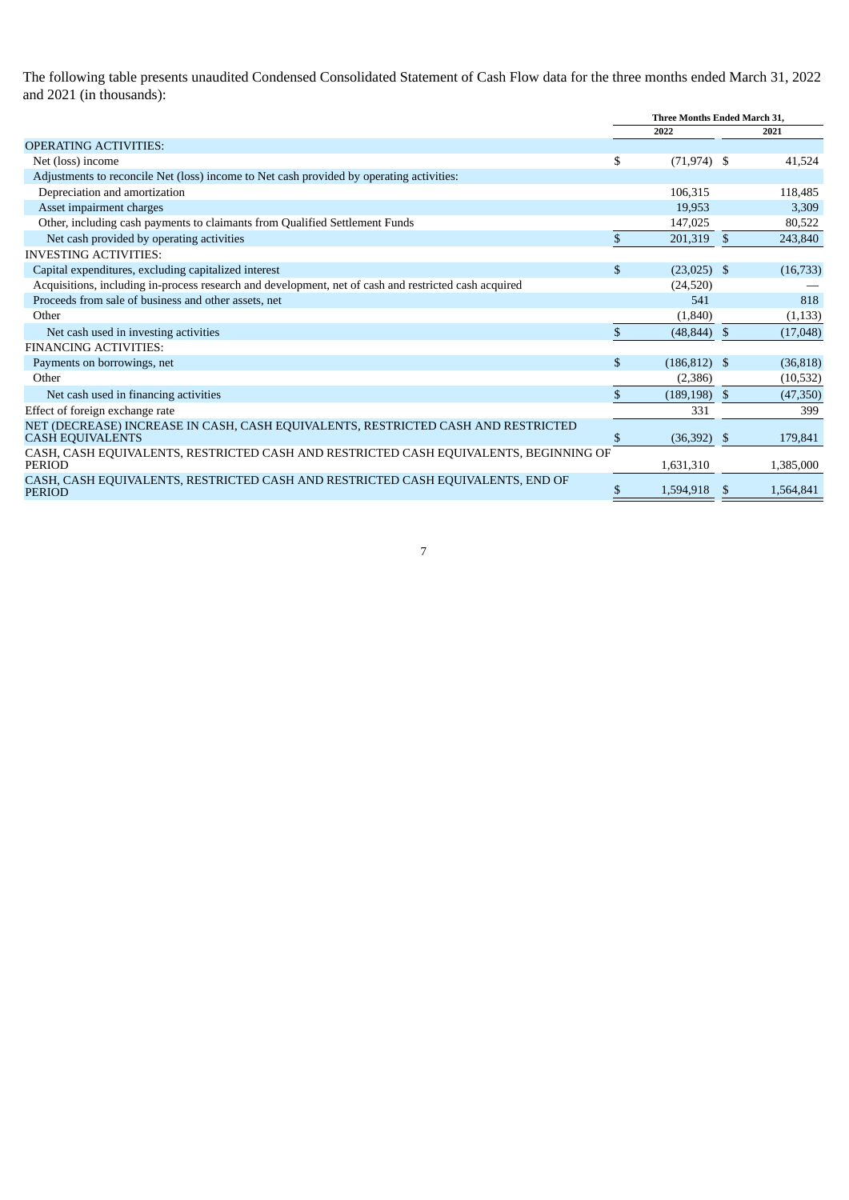The following table presents unaudited Condensed Consolidated Statement of Cash Flow data for the three months ended March 31, 2022 and 2021 (in thousands):

|                                                                                                        |              | Three Months Ended March 31, |               |           |  |
|--------------------------------------------------------------------------------------------------------|--------------|------------------------------|---------------|-----------|--|
|                                                                                                        |              | 2022                         |               | 2021      |  |
| <b>OPERATING ACTIVITIES:</b>                                                                           |              |                              |               |           |  |
| Net (loss) income                                                                                      | \$           | $(71, 974)$ \$               |               | 41,524    |  |
| Adjustments to reconcile Net (loss) income to Net cash provided by operating activities:               |              |                              |               |           |  |
| Depreciation and amortization                                                                          |              | 106,315                      |               | 118,485   |  |
| Asset impairment charges                                                                               |              | 19.953                       |               | 3,309     |  |
| Other, including cash payments to claimants from Qualified Settlement Funds                            |              | 147,025                      |               | 80,522    |  |
| Net cash provided by operating activities                                                              | \$           | 201,319                      | \$            | 243,840   |  |
| <b>INVESTING ACTIVITIES:</b>                                                                           |              |                              |               |           |  |
| Capital expenditures, excluding capitalized interest                                                   | \$           | $(23,025)$ \$                |               | (16, 733) |  |
| Acquisitions, including in-process research and development, net of cash and restricted cash acquired  |              | (24, 520)                    |               |           |  |
| Proceeds from sale of business and other assets, net                                                   |              | 541                          |               | 818       |  |
| Other                                                                                                  |              | (1,840)                      |               | (1, 133)  |  |
| Net cash used in investing activities                                                                  | \$           | (48, 844)                    | \$            | (17,048)  |  |
| <b>FINANCING ACTIVITIES:</b>                                                                           |              |                              |               |           |  |
| Payments on borrowings, net                                                                            | $\mathbf{s}$ | $(186, 812)$ \$              |               | (36, 818) |  |
| Other                                                                                                  |              | (2,386)                      |               | (10, 532) |  |
| Net cash used in financing activities                                                                  | \$.          | (189, 198)                   | <sup>\$</sup> | (47,350)  |  |
| Effect of foreign exchange rate                                                                        |              | 331                          |               | 399       |  |
| NET (DECREASE) INCREASE IN CASH, CASH EQUIVALENTS, RESTRICTED CASH AND RESTRICTED                      |              |                              |               |           |  |
| <b>CASH EQUIVALENTS</b>                                                                                | \$           | $(36,392)$ \$                |               | 179,841   |  |
| CASH, CASH EQUIVALENTS, RESTRICTED CASH AND RESTRICTED CASH EQUIVALENTS, BEGINNING OF<br><b>PERIOD</b> |              | 1,631,310                    |               | 1,385,000 |  |
| CASH, CASH EQUIVALENTS, RESTRICTED CASH AND RESTRICTED CASH EQUIVALENTS, END OF<br><b>PERIOD</b>       |              | 1,594,918                    | <sup>S</sup>  | 1,564,841 |  |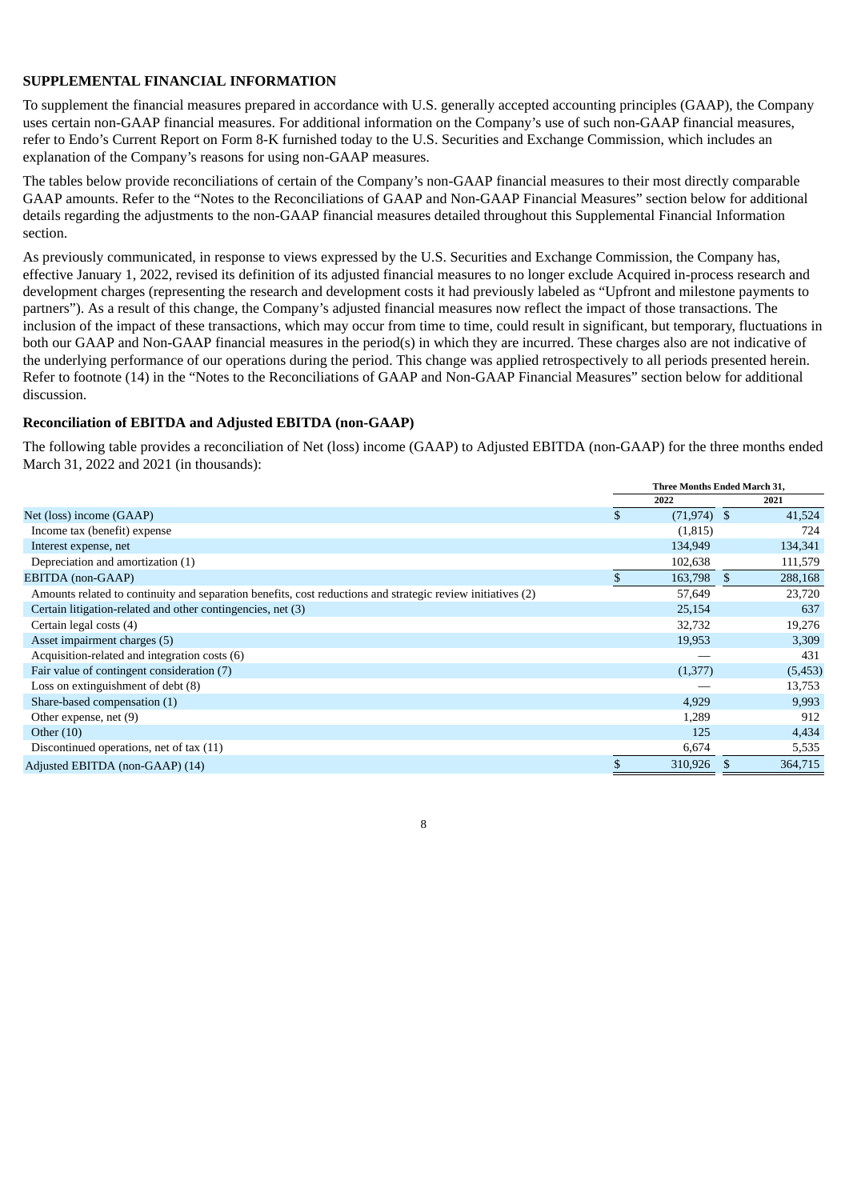## **SUPPLEMENTAL FINANCIAL INFORMATION**

To supplement the financial measures prepared in accordance with U.S. generally accepted accounting principles (GAAP), the Company uses certain non-GAAP financial measures. For additional information on the Company's use of such non-GAAP financial measures, refer to Endo's Current Report on Form 8-K furnished today to the U.S. Securities and Exchange Commission, which includes an explanation of the Company's reasons for using non-GAAP measures.

The tables below provide reconciliations of certain of the Company's non-GAAP financial measures to their most directly comparable GAAP amounts. Refer to the "Notes to the Reconciliations of GAAP and Non-GAAP Financial Measures" section below for additional details regarding the adjustments to the non-GAAP financial measures detailed throughout this Supplemental Financial Information section.

As previously communicated, in response to views expressed by the U.S. Securities and Exchange Commission, the Company has, effective January 1, 2022, revised its definition of its adjusted financial measures to no longer exclude Acquired in-process research and development charges (representing the research and development costs it had previously labeled as "Upfront and milestone payments to partners"). As a result of this change, the Company's adjusted financial measures now reflect the impact of those transactions. The inclusion of the impact of these transactions, which may occur from time to time, could result in significant, but temporary, fluctuations in both our GAAP and Non-GAAP financial measures in the period(s) in which they are incurred. These charges also are not indicative of the underlying performance of our operations during the period. This change was applied retrospectively to all periods presented herein. Refer to footnote (14) in the "Notes to the Reconciliations of GAAP and Non-GAAP Financial Measures" section below for additional discussion.

## **Reconciliation of EBITDA and Adjusted EBITDA (non-GAAP)**

The following table provides a reconciliation of Net (loss) income (GAAP) to Adjusted EBITDA (non-GAAP) for the three months ended March 31, 2022 and 2021 (in thousands):

|                                                                                                             | Three Months Ended March 31, |                |      |          |  |  |  |
|-------------------------------------------------------------------------------------------------------------|------------------------------|----------------|------|----------|--|--|--|
|                                                                                                             |                              | 2022           |      | 2021     |  |  |  |
| Net (loss) income (GAAP)                                                                                    | \$                           | $(71, 974)$ \$ |      | 41,524   |  |  |  |
| Income tax (benefit) expense                                                                                |                              | (1,815)        |      | 724      |  |  |  |
| Interest expense, net                                                                                       |                              | 134,949        |      | 134,341  |  |  |  |
| Depreciation and amortization (1)                                                                           |                              | 102,638        |      | 111,579  |  |  |  |
| EBITDA (non-GAAP)                                                                                           | \$                           | 163,798        | - \$ | 288,168  |  |  |  |
| Amounts related to continuity and separation benefits, cost reductions and strategic review initiatives (2) |                              | 57,649         |      | 23,720   |  |  |  |
| Certain litigation-related and other contingencies, net (3)                                                 |                              | 25,154         |      | 637      |  |  |  |
| Certain legal costs (4)                                                                                     |                              | 32,732         |      | 19,276   |  |  |  |
| Asset impairment charges (5)                                                                                |                              | 19,953         |      | 3,309    |  |  |  |
| Acquisition-related and integration costs (6)                                                               |                              |                |      | 431      |  |  |  |
| Fair value of contingent consideration (7)                                                                  |                              | (1,377)        |      | (5, 453) |  |  |  |
| Loss on extinguishment of debt (8)                                                                          |                              |                |      | 13,753   |  |  |  |
| Share-based compensation (1)                                                                                |                              | 4,929          |      | 9,993    |  |  |  |
| Other expense, net (9)                                                                                      |                              | 1,289          |      | 912      |  |  |  |
| Other $(10)$                                                                                                |                              | 125            |      | 4,434    |  |  |  |
| Discontinued operations, net of tax (11)                                                                    |                              | 6,674          |      | 5,535    |  |  |  |
| Adjusted EBITDA (non-GAAP) (14)                                                                             |                              | 310,926        |      | 364,715  |  |  |  |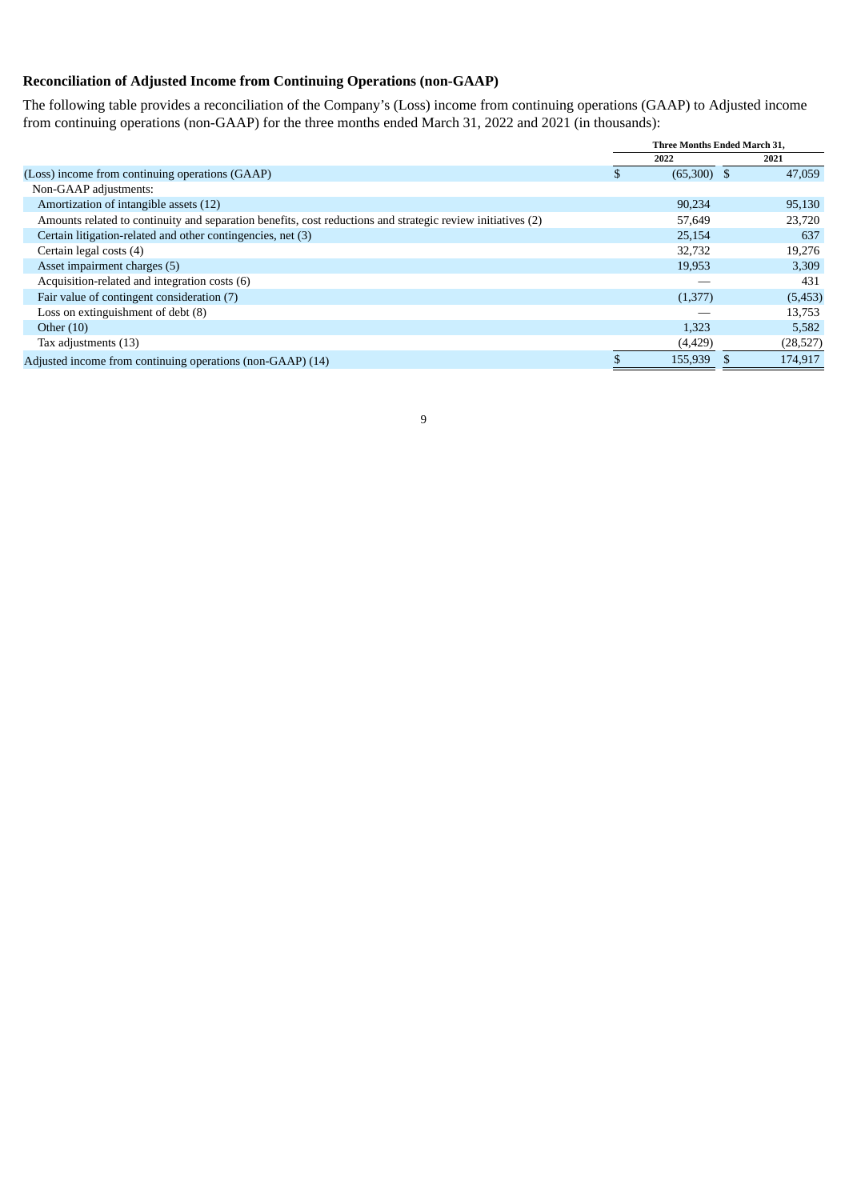## **Reconciliation of Adjusted Income from Continuing Operations (non-GAAP)**

The following table provides a reconciliation of the Company's (Loss) income from continuing operations (GAAP) to Adjusted income from continuing operations (non-GAAP) for the three months ended March 31, 2022 and 2021 (in thousands):

|                                                                                                             |      | Three Months Ended March 31, |  |          |  |
|-------------------------------------------------------------------------------------------------------------|------|------------------------------|--|----------|--|
|                                                                                                             | 2022 |                              |  | 2021     |  |
| (Loss) income from continuing operations (GAAP)                                                             | \$.  | $(65,300)$ \$                |  | 47,059   |  |
| Non-GAAP adjustments:                                                                                       |      |                              |  |          |  |
| Amortization of intangible assets (12)                                                                      |      | 90,234                       |  | 95,130   |  |
| Amounts related to continuity and separation benefits, cost reductions and strategic review initiatives (2) |      | 57,649                       |  | 23,720   |  |
| Certain litigation-related and other contingencies, net (3)                                                 |      | 25,154                       |  | 637      |  |
| Certain legal costs (4)                                                                                     |      | 32.732                       |  | 19,276   |  |
| Asset impairment charges (5)                                                                                |      | 19,953                       |  | 3,309    |  |
| Acquisition-related and integration costs (6)                                                               |      |                              |  | 431      |  |
| Fair value of contingent consideration (7)                                                                  |      | (1,377)                      |  | (5, 453) |  |
| Loss on extinguishment of debt (8)                                                                          |      |                              |  | 13,753   |  |
| Other $(10)$                                                                                                |      | 1,323                        |  | 5,582    |  |
| Tax adjustments (13)                                                                                        |      | (4,429)                      |  | (28,527) |  |
| Adjusted income from continuing operations (non-GAAP) (14)                                                  |      | 155,939                      |  | 174,917  |  |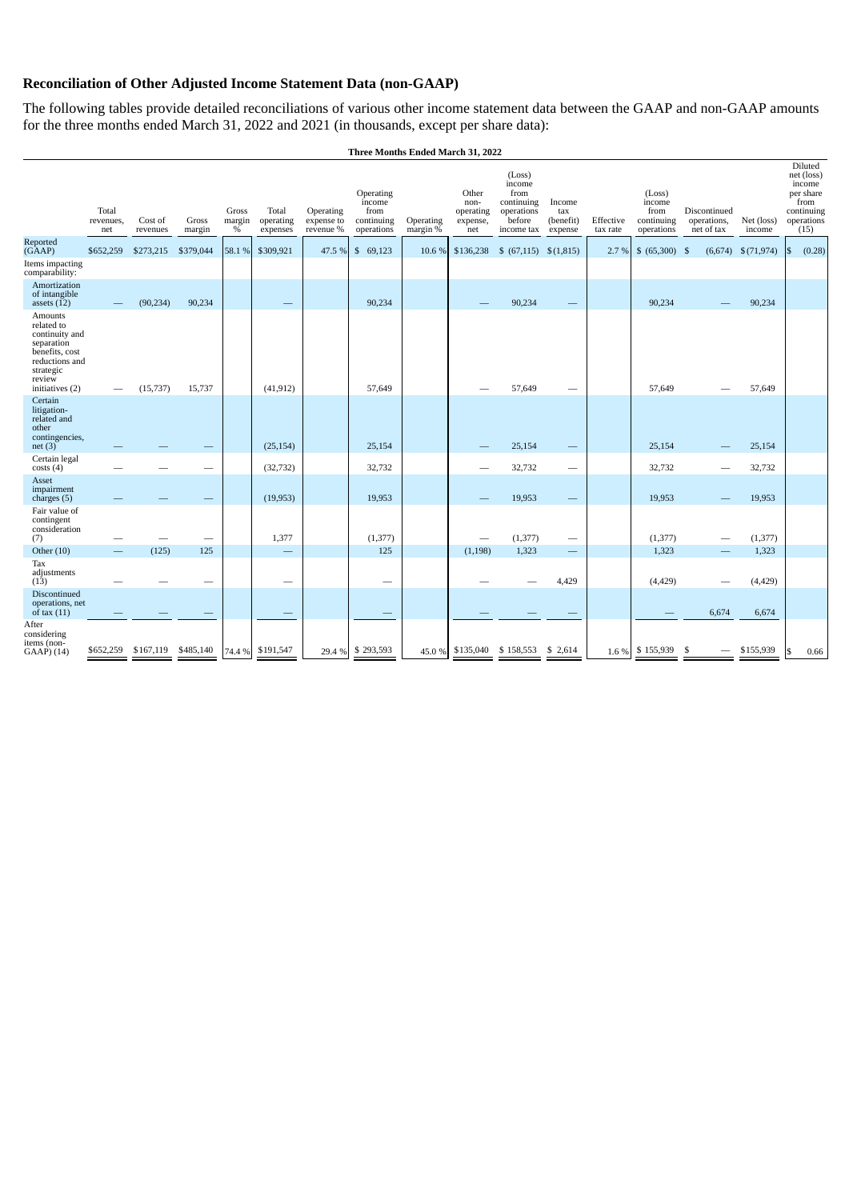## **Reconciliation of Other Adjusted Income Statement Data (non-GAAP)**

The following tables provide detailed reconciliations of various other income statement data between the GAAP and non-GAAP amounts for the three months ended March 31, 2022 and 2021 (in thousands, except per share data):

|                                                                                                                                     | Total<br>revenues<br>net | Cost of<br>revenues | Gross<br>margin | Gross<br>margin<br>$\frac{9}{6}$ | Total<br>operating<br>expenses | Operating<br>expense to<br>revenue % | Operating<br>income<br>from<br>continuing<br>operations | Operating<br>margin % | Other<br>non-<br>operating<br>expense,<br>net | (Loss)<br>income<br>from<br>continuing<br>operations<br>before<br>income tax | Income<br>tax<br>(benefit)<br>expense | Effective<br>tax rate | (Loss)<br>income<br>from<br>continuing<br>operations | Discontinued<br>operations,<br>net of tax | Net (loss)<br>income | Diluted<br>net (loss)<br>income<br>per share<br>from<br>continuing<br>operations<br>(15) |
|-------------------------------------------------------------------------------------------------------------------------------------|--------------------------|---------------------|-----------------|----------------------------------|--------------------------------|--------------------------------------|---------------------------------------------------------|-----------------------|-----------------------------------------------|------------------------------------------------------------------------------|---------------------------------------|-----------------------|------------------------------------------------------|-------------------------------------------|----------------------|------------------------------------------------------------------------------------------|
| Reported<br>(G <sup>AAP</sup> )                                                                                                     | \$652,259                | \$273,215 \$379,044 |                 | 58.1%                            | \$309,921                      | 47.5 %                               | \$69,123                                                | 10.6 %                | \$136,238                                     | $$$ (67,115) $$$ (1,815)                                                     |                                       | 2.7%                  | \$ (65,300) \$                                       |                                           | $(6,674)$ \$(71,974) | \$<br>(0.28)                                                                             |
| Items impacting<br>comparability:                                                                                                   |                          |                     |                 |                                  |                                |                                      |                                                         |                       |                                               |                                                                              |                                       |                       |                                                      |                                           |                      |                                                                                          |
| Amortization<br>of intangible<br>assets $(12)$                                                                                      | $\qquad \qquad -$        | (90, 234)           | 90,234          |                                  |                                |                                      | 90,234                                                  |                       |                                               | 90,234                                                                       |                                       |                       | 90,234                                               |                                           | 90,234               |                                                                                          |
| Amounts<br>related to<br>continuity and<br>separation<br>benefits, cost<br>reductions and<br>strategic<br>review<br>initiatives (2) |                          | (15, 737)           | 15,737          |                                  | (41, 912)                      |                                      | 57.649                                                  |                       |                                               | 57,649                                                                       | -                                     |                       | 57,649                                               |                                           | 57,649               |                                                                                          |
| Certain<br>litigation-<br>related and<br>other<br>contingencies,<br>net(3)                                                          |                          |                     |                 |                                  | (25, 154)                      |                                      | 25,154                                                  |                       |                                               | 25,154                                                                       |                                       |                       | 25,154                                               |                                           | 25,154               |                                                                                          |
| Certain legal<br>costs(4)                                                                                                           |                          |                     |                 |                                  | (32, 732)                      |                                      | 32,732                                                  |                       |                                               | 32,732                                                                       |                                       |                       | 32,732                                               |                                           | 32,732               |                                                                                          |
| Asset<br>impairment<br>charges (5)                                                                                                  |                          |                     |                 |                                  | (19,953)                       |                                      | 19,953                                                  |                       |                                               | 19,953                                                                       |                                       |                       | 19,953                                               |                                           | 19,953               |                                                                                          |
| Fair value of<br>contingent<br>consideration<br>(7)                                                                                 |                          |                     |                 |                                  | 1,377                          |                                      | (1, 377)                                                |                       | -                                             | (1, 377)                                                                     | -                                     |                       | (1, 377)                                             |                                           | (1, 377)             |                                                                                          |
| Other $(10)$                                                                                                                        |                          | (125)               | 125             |                                  |                                |                                      | 125                                                     |                       | (1, 198)                                      | 1,323                                                                        |                                       |                       | 1,323                                                |                                           | 1,323                |                                                                                          |
| Tax<br>adjustments<br>(13)                                                                                                          |                          |                     |                 |                                  | -                              |                                      | -                                                       |                       |                                               |                                                                              | 4,429                                 |                       | (4,429)                                              |                                           | (4, 429)             |                                                                                          |
| Discontinued<br>operations, net<br>of tax $(11)$                                                                                    |                          |                     |                 |                                  |                                |                                      |                                                         |                       |                                               |                                                                              |                                       |                       |                                                      | 6,674                                     | 6,674                |                                                                                          |
| After<br>considering<br>items (non-<br>GAAP) (14)                                                                                   | \$652,259                | \$167,119           | \$485,140       | 74.4%                            | \$191,547                      | 29.4 %                               | \$293,593                                               | 45.0%                 |                                               | \$135,040 \$158,553                                                          | \$2,614                               | 1.6%                  | \$155,939                                            | -\$<br>$\qquad \qquad$                    | \$155,939            | \$<br>0.66                                                                               |

**Three Months Ended March 31, 2022**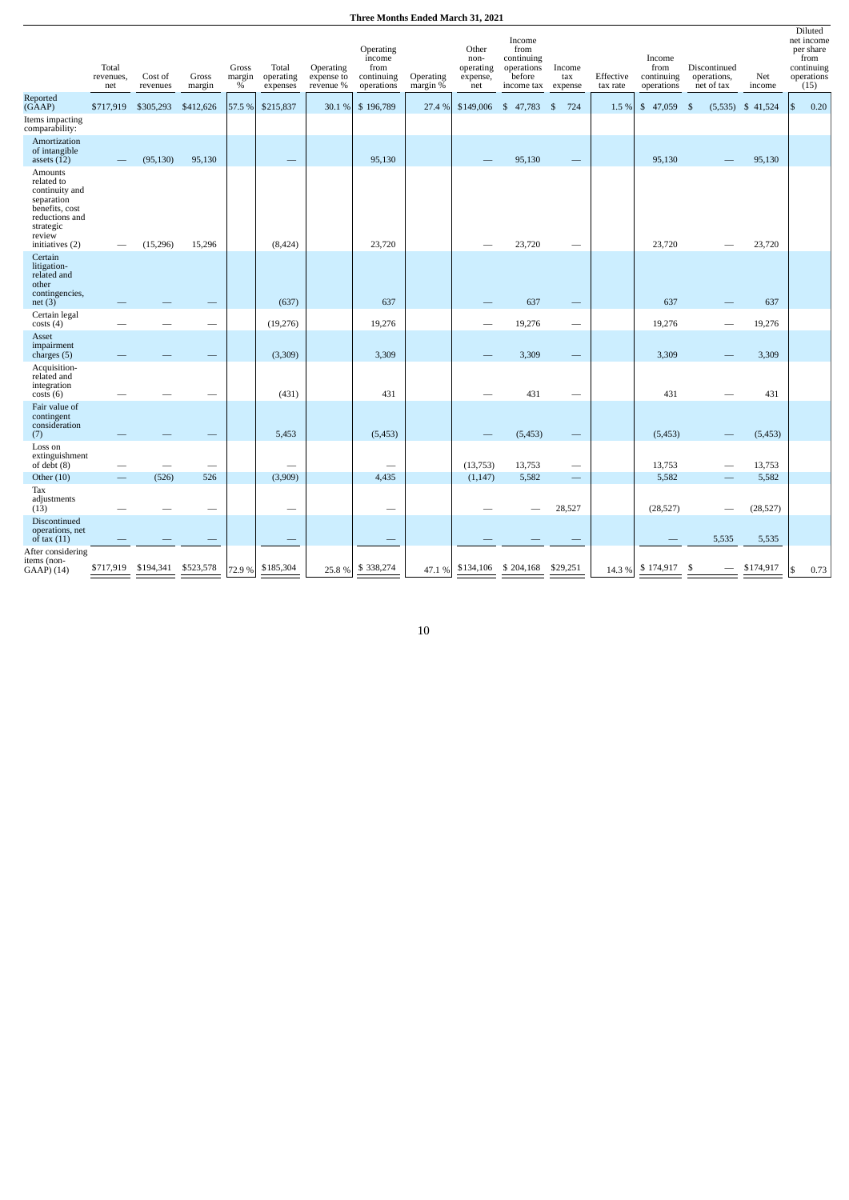**Three Months Ended March 31, 2021**

|                                                                                                                                     | Total<br>revenues,<br>net | Cost of<br>revenues           | Gross<br>margin | Gross<br>margin<br>% | Total<br>operating<br>expenses      | Operating<br>expense to<br>revenue % | Operating<br>income<br>from<br>continuing<br>operations | Operating<br>margin % | Other<br>non-<br>operating<br>expense,<br>net | Income<br>from<br>continuing<br>operations<br>before<br>income tax | Income<br>tax<br>expense | Effective<br>tax rate | Income<br>from<br>continuing<br>operations | Discontinued<br>operations,<br>net of tax | Net<br>income       | Diluted<br>net income<br>per share<br>from<br>continuing<br>operations<br>(15) |      |
|-------------------------------------------------------------------------------------------------------------------------------------|---------------------------|-------------------------------|-----------------|----------------------|-------------------------------------|--------------------------------------|---------------------------------------------------------|-----------------------|-----------------------------------------------|--------------------------------------------------------------------|--------------------------|-----------------------|--------------------------------------------|-------------------------------------------|---------------------|--------------------------------------------------------------------------------|------|
| Reported<br>$(G\text{AAP})$                                                                                                         | \$717,919                 | \$305,293                     | \$412,626       | 57.5%                | \$215,837                           | 30.1 %                               | \$196,789                                               | 27.4%                 | \$149,006                                     | \$ 47,783 \$ 724                                                   |                          | 1.5 %                 | \$47,059                                   | \$                                        | $(5,535)$ \$ 41,524 | \$                                                                             | 0.20 |
| Items impacting<br>comparability:                                                                                                   |                           |                               |                 |                      |                                     |                                      |                                                         |                       |                                               |                                                                    |                          |                       |                                            |                                           |                     |                                                                                |      |
| Amortization<br>of intangible<br>assets $(12)$                                                                                      |                           | (95, 130)                     | 95,130          |                      |                                     |                                      | 95,130                                                  |                       |                                               | 95,130                                                             |                          |                       | 95,130                                     |                                           | 95,130              |                                                                                |      |
| Amounts<br>related to<br>continuity and<br>separation<br>benefits, cost<br>reductions and<br>strategic<br>review<br>initiatives (2) |                           | (15, 296)                     | 15,296          |                      | (8, 424)                            |                                      | 23,720                                                  |                       |                                               | 23,720                                                             |                          |                       | 23,720                                     |                                           | 23,720              |                                                                                |      |
| Certain<br>litigation-<br>related and<br>other<br>contingencies,<br>net(3)                                                          |                           |                               |                 |                      | (637)                               |                                      | 637                                                     |                       |                                               | 637                                                                |                          |                       | 637                                        |                                           | 637                 |                                                                                |      |
| Certain legal<br>costs(4)                                                                                                           |                           |                               |                 |                      | (19,276)                            |                                      | 19,276                                                  |                       |                                               | 19,276                                                             | -                        |                       | 19,276                                     | -                                         | 19,276              |                                                                                |      |
| Asset<br>impairment<br>charges (5)                                                                                                  |                           |                               |                 |                      | (3,309)                             |                                      | 3,309                                                   |                       |                                               | 3,309                                                              |                          |                       | 3,309                                      |                                           | 3,309               |                                                                                |      |
| Acquisition-<br>related and<br>integration<br>costs(6)                                                                              |                           |                               |                 |                      | (431)                               |                                      | 431                                                     |                       |                                               | 431                                                                |                          |                       | 431                                        |                                           | 431                 |                                                                                |      |
| Fair value of<br>contingent<br>consideration<br>(7)                                                                                 |                           |                               |                 |                      | 5,453                               |                                      | (5, 453)                                                |                       |                                               | (5, 453)                                                           |                          |                       | (5, 453)                                   |                                           | (5, 453)            |                                                                                |      |
| Loss on<br>extinguishment<br>of debt $(8)$                                                                                          |                           |                               | -               |                      |                                     |                                      |                                                         |                       | (13, 753)                                     | 13,753                                                             |                          |                       | 13,753                                     | -                                         | 13,753              |                                                                                |      |
| Other $(10)$<br>Tax<br>adjustments<br>(13)                                                                                          |                           | (526)                         | 526             |                      | (3,909)<br>$\overline{\phantom{0}}$ |                                      | 4,435<br>$\overline{\phantom{m}}$                       |                       | (1, 147)                                      | 5,582                                                              | 28,527                   |                       | 5,582<br>(28, 527)                         | -                                         | 5,582<br>(28, 527)  |                                                                                |      |
| Discontinued<br>operations, net<br>of tax $(11)$                                                                                    |                           |                               |                 |                      |                                     |                                      |                                                         |                       |                                               |                                                                    |                          |                       |                                            | 5,535                                     | 5,535               |                                                                                |      |
| After considering<br>items (non-<br>GAAP) (14)                                                                                      |                           | \$717,919 \$194,341 \$523,578 |                 |                      | 72.9 % \$185,304                    | 25.8%                                | \$338,274                                               | 47.1%                 |                                               | \$134,106 \$204,168                                                | \$29,251                 | 14.3%                 | \$174,917                                  | - \$<br>—                                 | \$174,917           | \$                                                                             | 0.73 |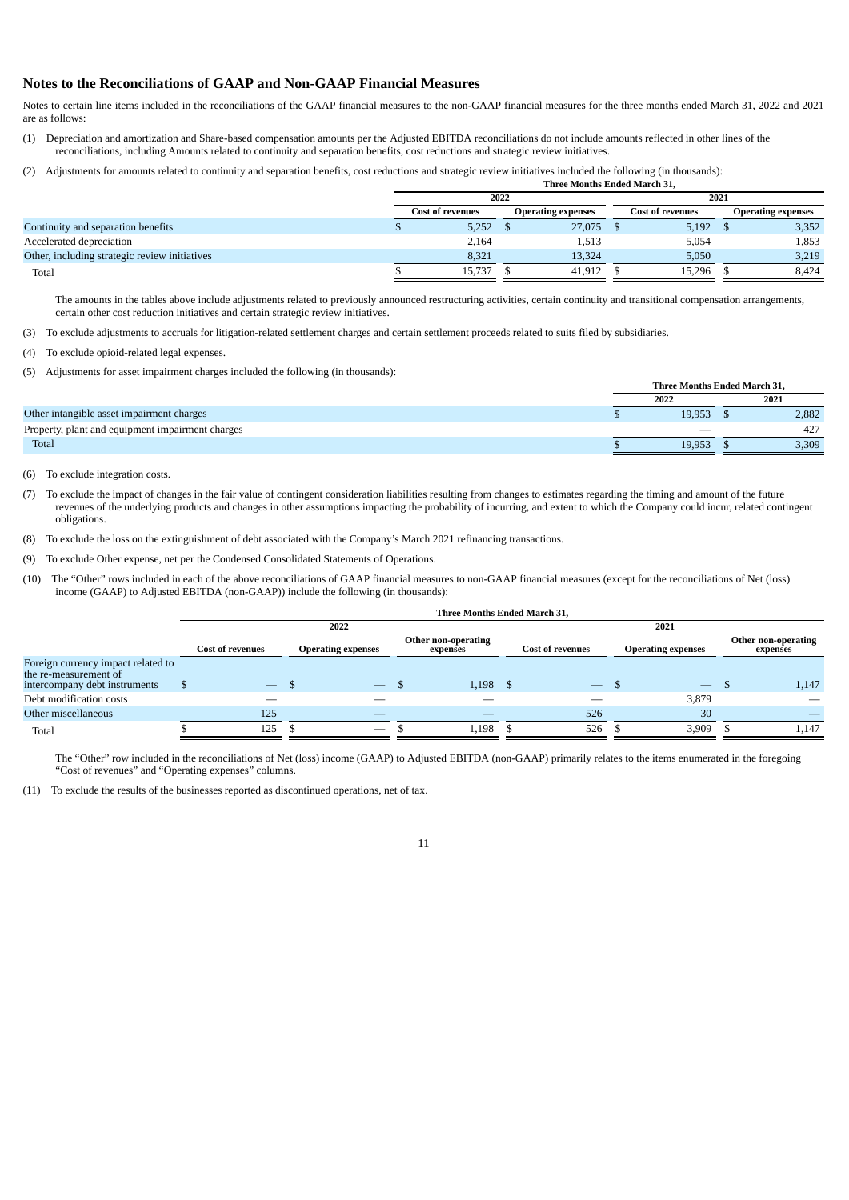### **Notes to the Reconciliations of GAAP and Non-GAAP Financial Measures**

Notes to certain line items included in the reconciliations of the GAAP financial measures to the non-GAAP financial measures for the three months ended March 31, 2022 and 2021 are as follows:

- (1) Depreciation and amortization and Share-based compensation amounts per the Adjusted EBITDA reconciliations do not include amounts reflected in other lines of the reconciliations, including Amounts related to continuity and separation benefits, cost reductions and strategic review initiatives.
- (2) Adjustments for amounts related to continuity and separation benefits, cost reductions and strategic review initiatives included the following (in thousands): **Three Months Ended March 31,**

|                                               | Three Months Ended March 31. |                         |  |                           |      |                         |  |                           |
|-----------------------------------------------|------------------------------|-------------------------|--|---------------------------|------|-------------------------|--|---------------------------|
|                                               |                              | 2022                    |  |                           | 2021 |                         |  |                           |
|                                               |                              | <b>Cost of revenues</b> |  | <b>Operating expenses</b> |      | <b>Cost of revenues</b> |  | <b>Operating expenses</b> |
| Continuity and separation benefits            |                              | 5,252                   |  | 27,075                    |      | 5,192                   |  | 3,352                     |
| Accelerated depreciation                      |                              | 2,164                   |  | 1,513                     |      | 5,054                   |  | 1,853                     |
| Other, including strategic review initiatives |                              | 8,321                   |  | 13.324                    |      | 5,050                   |  | 3,219                     |
| Total                                         |                              | 15,737                  |  | 41,912                    |      | 15,296                  |  | 8,424                     |

The amounts in the tables above include adjustments related to previously announced restructuring activities, certain continuity and transitional compensation arrangements, certain other cost reduction initiatives and certain strategic review initiatives.

(3) To exclude adjustments to accruals for litigation-related settlement charges and certain settlement proceeds related to suits filed by subsidiaries.

(4) To exclude opioid-related legal expenses.

(5) Adjustments for asset impairment charges included the following (in thousands):

| $\sqrt{-1}$                                      | Three Months Ended March 31, |  |       |  |
|--------------------------------------------------|------------------------------|--|-------|--|
|                                                  | 2022                         |  | 2021  |  |
| Other intangible asset impairment charges        | 19.953                       |  | 2,882 |  |
| Property, plant and equipment impairment charges |                              |  | 427   |  |
| Total                                            | 19.953                       |  | 3,309 |  |

- (6) To exclude integration costs.
- (7) To exclude the impact of changes in the fair value of contingent consideration liabilities resulting from changes to estimates regarding the timing and amount of the future revenues of the underlying products and changes in other assumptions impacting the probability of incurring, and extent to which the Company could incur, related contingent obligations.
- (8) To exclude the loss on the extinguishment of debt associated with the Company's March 2021 refinancing transactions.
- (9) To exclude Other expense, net per the Condensed Consolidated Statements of Operations.
- (10) The "Other" rows included in each of the above reconciliations of GAAP financial measures to non-GAAP financial measures (except for the reconciliations of Net (loss) income (GAAP) to Adjusted EBITDA (non-GAAP)) include the following (in thousands):

|                                                                                              | Three Months Ended March 31, |  |                           |  |                                 |      |                         |  |                           |  |                                 |
|----------------------------------------------------------------------------------------------|------------------------------|--|---------------------------|--|---------------------------------|------|-------------------------|--|---------------------------|--|---------------------------------|
|                                                                                              | 2022                         |  |                           |  | 2021                            |      |                         |  |                           |  |                                 |
|                                                                                              | <b>Cost of revenues</b>      |  | <b>Operating expenses</b> |  | Other non-operating<br>expenses |      | <b>Cost of revenues</b> |  | <b>Operating expenses</b> |  | Other non-operating<br>expenses |
| Foreign currency impact related to<br>the re-measurement of<br>intercompany debt instruments | $\overline{\phantom{0}}$     |  |                           |  | 1.198                           | - 55 |                         |  |                           |  | 1,147                           |
| Debt modification costs                                                                      |                              |  |                           |  |                                 |      |                         |  | 3,879                     |  |                                 |
| Other miscellaneous                                                                          | 125                          |  | $\overline{\phantom{a}}$  |  | _                               |      | 526                     |  | 30                        |  |                                 |
| Total                                                                                        | 125                          |  | $\overline{\phantom{m}}$  |  | 1,198                           |      | 526                     |  | 3,909                     |  | 1,147                           |

The "Other" row included in the reconciliations of Net (loss) income (GAAP) to Adjusted EBITDA (non-GAAP) primarily relates to the items enumerated in the foregoing "Cost of revenues" and "Operating expenses" columns.

(11) To exclude the results of the businesses reported as discontinued operations, net of tax.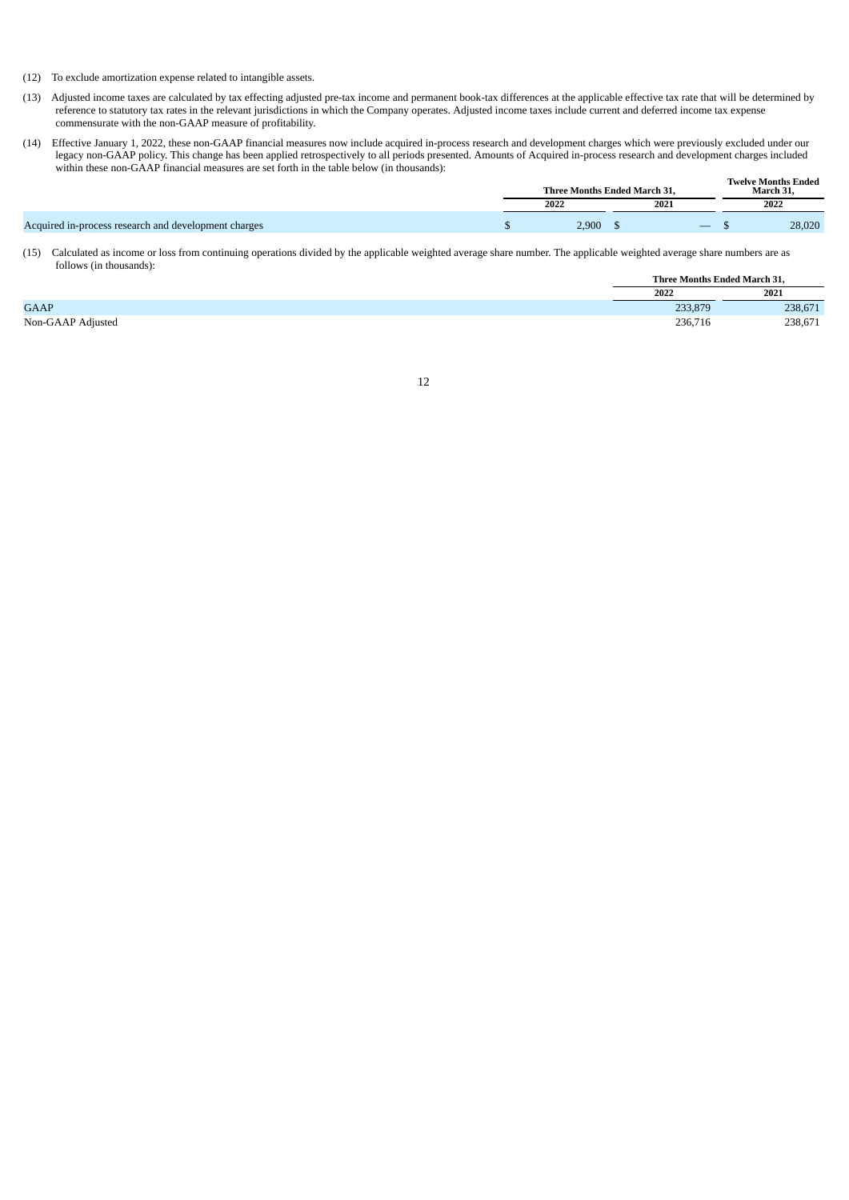- (12) To exclude amortization expense related to intangible assets.
- (13) Adjusted income taxes are calculated by tax effecting adjusted pre-tax income and permanent book-tax differences at the applicable effective tax rate that will be determined by reference to statutory tax rates in the relevant jurisdictions in which the Company operates. Adjusted income taxes include current and deferred income tax expense commensurate with the non-GAAP measure of profitability.
- (14) Effective January 1, 2022, these non-GAAP financial measures now include acquired in-process research and development charges which were previously excluded under our legacy non-GAAP policy. This change has been applied retrospectively to all periods presented. Amounts of Acquired in-process research and development charges included within these non-GAAP financial measures are set forth in the table below (in thousands): **Twelve Months Ended March 31,**

|                                                      | Three Months Ended March 31. |       | Twelve Months Ended<br>March 31. |      |        |
|------------------------------------------------------|------------------------------|-------|----------------------------------|------|--------|
|                                                      | 2022                         | 2021  |                                  | 2022 |        |
| Acquired in-process research and development charges |                              | 2.900 |                                  |      | 28,020 |

(15) Calculated as income or loss from continuing operations divided by the applicable weighted average share number. The applicable weighted average share numbers are as follows (in thousands):

|                   |         | <b>Three Months Ended March 31.</b> |  |  |
|-------------------|---------|-------------------------------------|--|--|
|                   | 2022    | 2021                                |  |  |
| GAAP              | 233,879 | 238,671                             |  |  |
| Non-GAAP Adjusted | 236,716 | 238,671                             |  |  |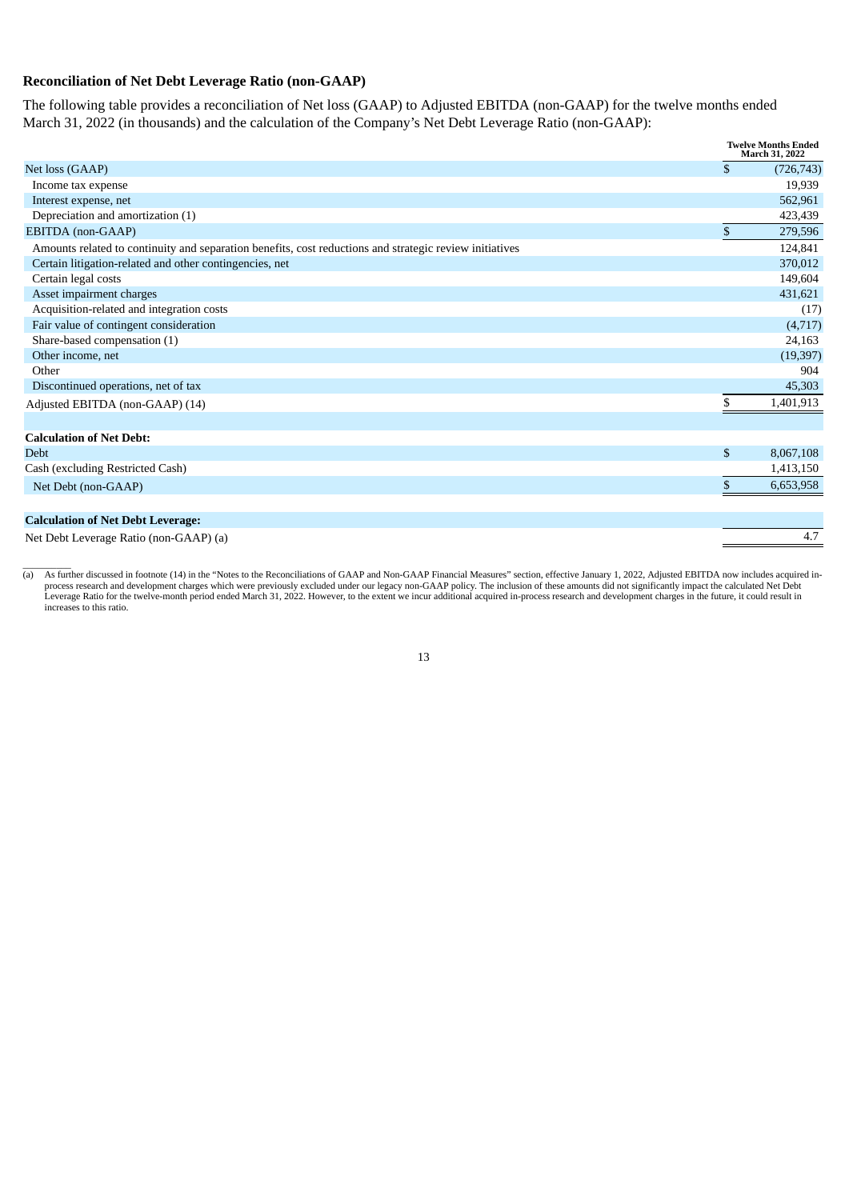## **Reconciliation of Net Debt Leverage Ratio (non-GAAP)**

The following table provides a reconciliation of Net loss (GAAP) to Adjusted EBITDA (non-GAAP) for the twelve months ended March 31, 2022 (in thousands) and the calculation of the Company's Net Debt Leverage Ratio (non-GAAP):

|                                                                                                         |                | <b>Twelve Months Ended</b><br>March 31, 2022 |
|---------------------------------------------------------------------------------------------------------|----------------|----------------------------------------------|
| Net loss (GAAP)                                                                                         | $\mathfrak{S}$ | (726, 743)                                   |
| Income tax expense                                                                                      |                | 19,939                                       |
| Interest expense, net                                                                                   |                | 562,961                                      |
| Depreciation and amortization (1)                                                                       |                | 423,439                                      |
| EBITDA (non-GAAP)                                                                                       | \$             | 279,596                                      |
| Amounts related to continuity and separation benefits, cost reductions and strategic review initiatives |                | 124,841                                      |
| Certain litigation-related and other contingencies, net                                                 |                | 370,012                                      |
| Certain legal costs                                                                                     |                | 149,604                                      |
| Asset impairment charges                                                                                |                | 431,621                                      |
| Acquisition-related and integration costs                                                               |                | (17)                                         |
| Fair value of contingent consideration                                                                  |                | (4,717)                                      |
| Share-based compensation (1)                                                                            |                | 24,163                                       |
| Other income, net                                                                                       |                | (19, 397)                                    |
| Other                                                                                                   |                | 904                                          |
| Discontinued operations, net of tax                                                                     |                | 45,303                                       |
| Adjusted EBITDA (non-GAAP) (14)                                                                         |                | 1,401,913                                    |
|                                                                                                         |                |                                              |
| <b>Calculation of Net Debt:</b>                                                                         |                |                                              |
| Debt                                                                                                    | \$             | 8,067,108                                    |
| Cash (excluding Restricted Cash)                                                                        |                | 1,413,150                                    |
| Net Debt (non-GAAP)                                                                                     | \$             | 6,653,958                                    |
|                                                                                                         |                |                                              |
| <b>Calculation of Net Debt Leverage:</b>                                                                |                |                                              |
| Net Debt Leverage Ratio (non-GAAP) (a)                                                                  |                | 4.7                                          |

(a) As further discussed in footnote (14) in the "Notes to the Reconciliations of GAAP and Non-GAAP Financial Measures" section, effective January 1, 2022, Adjusted EBITDA now includes acquired in-<br>process research and dev increases to this ratio.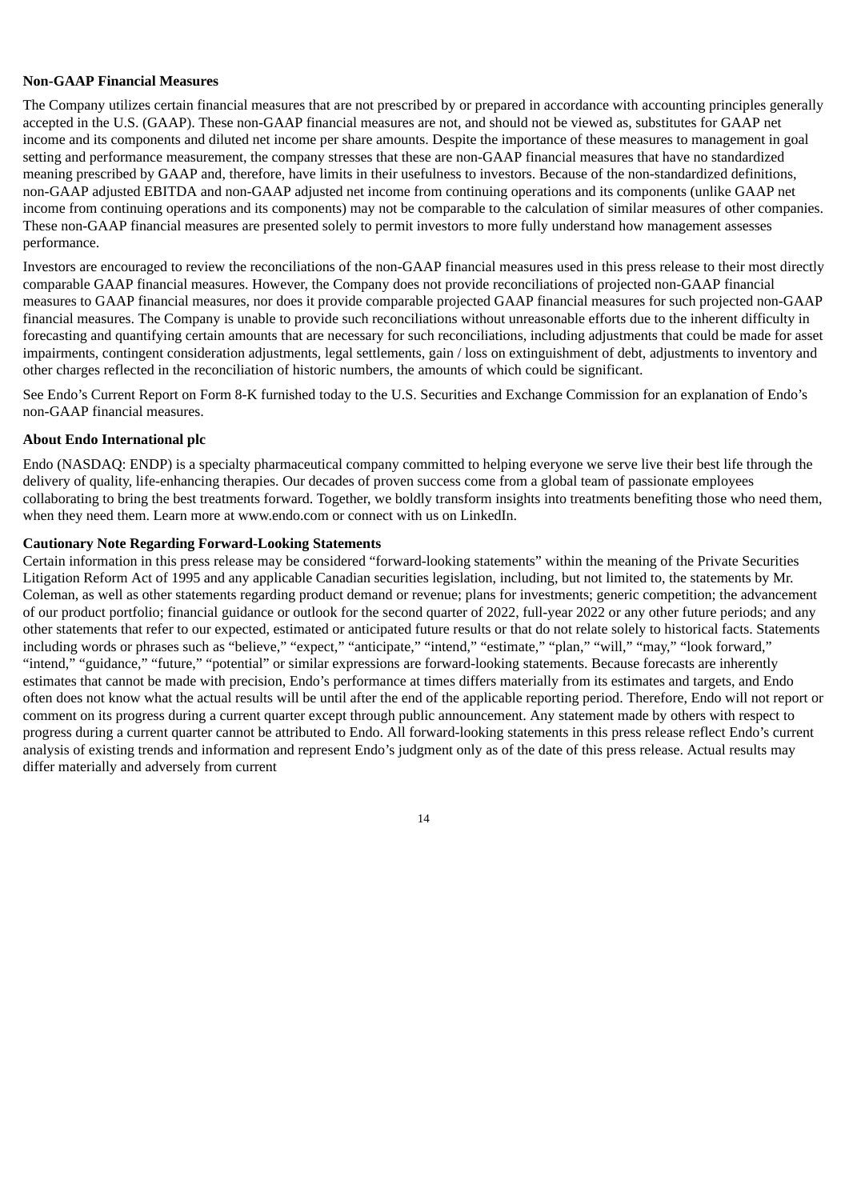#### **Non-GAAP Financial Measures**

The Company utilizes certain financial measures that are not prescribed by or prepared in accordance with accounting principles generally accepted in the U.S. (GAAP). These non-GAAP financial measures are not, and should not be viewed as, substitutes for GAAP net income and its components and diluted net income per share amounts. Despite the importance of these measures to management in goal setting and performance measurement, the company stresses that these are non-GAAP financial measures that have no standardized meaning prescribed by GAAP and, therefore, have limits in their usefulness to investors. Because of the non-standardized definitions, non-GAAP adjusted EBITDA and non-GAAP adjusted net income from continuing operations and its components (unlike GAAP net income from continuing operations and its components) may not be comparable to the calculation of similar measures of other companies. These non-GAAP financial measures are presented solely to permit investors to more fully understand how management assesses performance.

Investors are encouraged to review the reconciliations of the non-GAAP financial measures used in this press release to their most directly comparable GAAP financial measures. However, the Company does not provide reconciliations of projected non-GAAP financial measures to GAAP financial measures, nor does it provide comparable projected GAAP financial measures for such projected non-GAAP financial measures. The Company is unable to provide such reconciliations without unreasonable efforts due to the inherent difficulty in forecasting and quantifying certain amounts that are necessary for such reconciliations, including adjustments that could be made for asset impairments, contingent consideration adjustments, legal settlements, gain / loss on extinguishment of debt, adjustments to inventory and other charges reflected in the reconciliation of historic numbers, the amounts of which could be significant.

See Endo's Current Report on Form 8-K furnished today to the U.S. Securities and Exchange Commission for an explanation of Endo's non-GAAP financial measures.

#### **About Endo International plc**

Endo (NASDAQ: ENDP) is a specialty pharmaceutical company committed to helping everyone we serve live their best life through the delivery of quality, life-enhancing therapies. Our decades of proven success come from a global team of passionate employees collaborating to bring the best treatments forward. Together, we boldly transform insights into treatments benefiting those who need them, when they need them. Learn more at www.endo.com or connect with us on LinkedIn.

#### **Cautionary Note Regarding Forward-Looking Statements**

Certain information in this press release may be considered "forward-looking statements" within the meaning of the Private Securities Litigation Reform Act of 1995 and any applicable Canadian securities legislation, including, but not limited to, the statements by Mr. Coleman, as well as other statements regarding product demand or revenue; plans for investments; generic competition; the advancement of our product portfolio; financial guidance or outlook for the second quarter of 2022, full-year 2022 or any other future periods; and any other statements that refer to our expected, estimated or anticipated future results or that do not relate solely to historical facts. Statements including words or phrases such as "believe," "expect," "anticipate," "intend," "estimate," "plan," "will," "may," "look forward," "intend," "guidance," "future," "potential" or similar expressions are forward-looking statements. Because forecasts are inherently estimates that cannot be made with precision, Endo's performance at times differs materially from its estimates and targets, and Endo often does not know what the actual results will be until after the end of the applicable reporting period. Therefore, Endo will not report or comment on its progress during a current quarter except through public announcement. Any statement made by others with respect to progress during a current quarter cannot be attributed to Endo. All forward-looking statements in this press release reflect Endo's current analysis of existing trends and information and represent Endo's judgment only as of the date of this press release. Actual results may differ materially and adversely from current

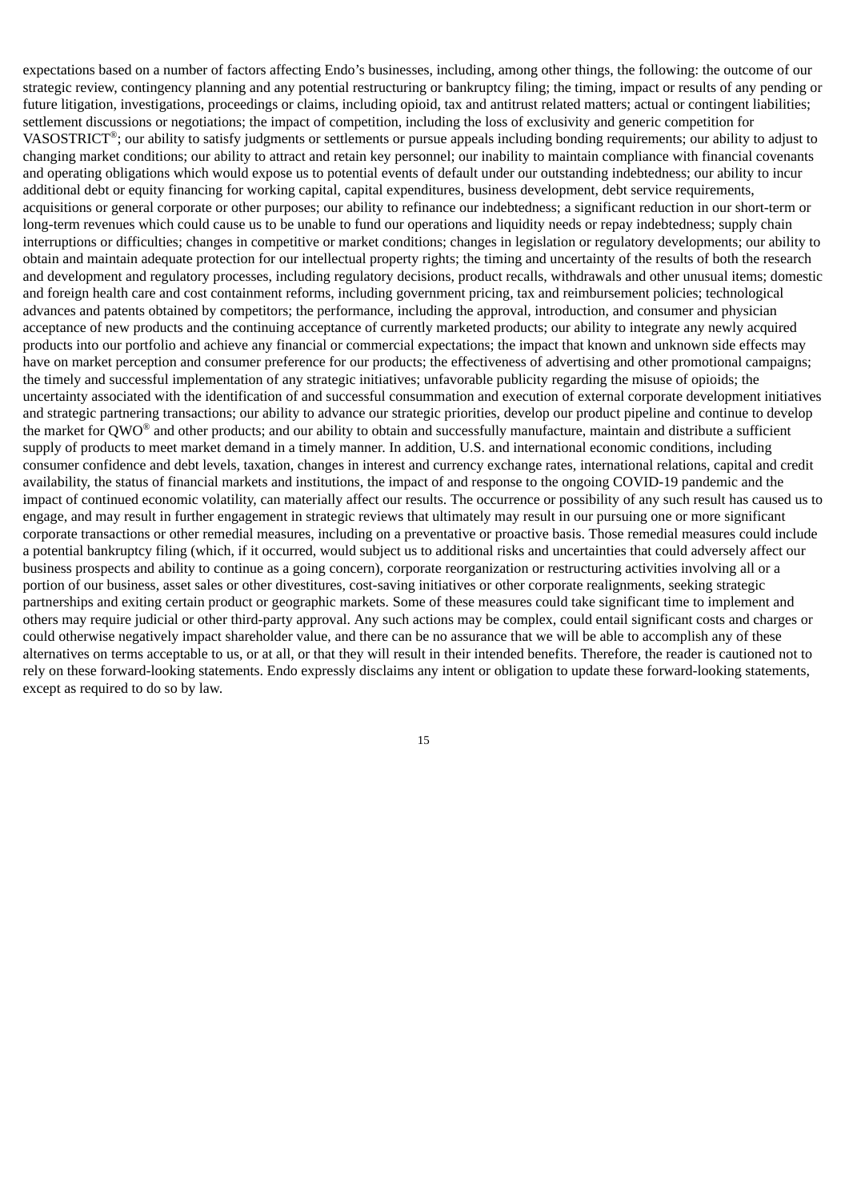expectations based on a number of factors affecting Endo's businesses, including, among other things, the following: the outcome of our strategic review, contingency planning and any potential restructuring or bankruptcy filing; the timing, impact or results of any pending or future litigation, investigations, proceedings or claims, including opioid, tax and antitrust related matters; actual or contingent liabilities; settlement discussions or negotiations; the impact of competition, including the loss of exclusivity and generic competition for VASOSTRICT<sup>®</sup>; our ability to satisfy judgments or settlements or pursue appeals including bonding requirements; our ability to adjust to changing market conditions; our ability to attract and retain key personnel; our inability to maintain compliance with financial covenants and operating obligations which would expose us to potential events of default under our outstanding indebtedness; our ability to incur additional debt or equity financing for working capital, capital expenditures, business development, debt service requirements, acquisitions or general corporate or other purposes; our ability to refinance our indebtedness; a significant reduction in our short-term or long-term revenues which could cause us to be unable to fund our operations and liquidity needs or repay indebtedness; supply chain interruptions or difficulties; changes in competitive or market conditions; changes in legislation or regulatory developments; our ability to obtain and maintain adequate protection for our intellectual property rights; the timing and uncertainty of the results of both the research and development and regulatory processes, including regulatory decisions, product recalls, withdrawals and other unusual items; domestic and foreign health care and cost containment reforms, including government pricing, tax and reimbursement policies; technological advances and patents obtained by competitors; the performance, including the approval, introduction, and consumer and physician acceptance of new products and the continuing acceptance of currently marketed products; our ability to integrate any newly acquired products into our portfolio and achieve any financial or commercial expectations; the impact that known and unknown side effects may have on market perception and consumer preference for our products; the effectiveness of advertising and other promotional campaigns; the timely and successful implementation of any strategic initiatives; unfavorable publicity regarding the misuse of opioids; the uncertainty associated with the identification of and successful consummation and execution of external corporate development initiatives and strategic partnering transactions; our ability to advance our strategic priorities, develop our product pipeline and continue to develop the market for QWO® and other products; and our ability to obtain and successfully manufacture, maintain and distribute a sufficient supply of products to meet market demand in a timely manner. In addition, U.S. and international economic conditions, including consumer confidence and debt levels, taxation, changes in interest and currency exchange rates, international relations, capital and credit availability, the status of financial markets and institutions, the impact of and response to the ongoing COVID-19 pandemic and the impact of continued economic volatility, can materially affect our results. The occurrence or possibility of any such result has caused us to engage, and may result in further engagement in strategic reviews that ultimately may result in our pursuing one or more significant corporate transactions or other remedial measures, including on a preventative or proactive basis. Those remedial measures could include a potential bankruptcy filing (which, if it occurred, would subject us to additional risks and uncertainties that could adversely affect our business prospects and ability to continue as a going concern), corporate reorganization or restructuring activities involving all or a portion of our business, asset sales or other divestitures, cost-saving initiatives or other corporate realignments, seeking strategic partnerships and exiting certain product or geographic markets. Some of these measures could take significant time to implement and others may require judicial or other third-party approval. Any such actions may be complex, could entail significant costs and charges or could otherwise negatively impact shareholder value, and there can be no assurance that we will be able to accomplish any of these alternatives on terms acceptable to us, or at all, or that they will result in their intended benefits. Therefore, the reader is cautioned not to rely on these forward-looking statements. Endo expressly disclaims any intent or obligation to update these forward-looking statements, except as required to do so by law.